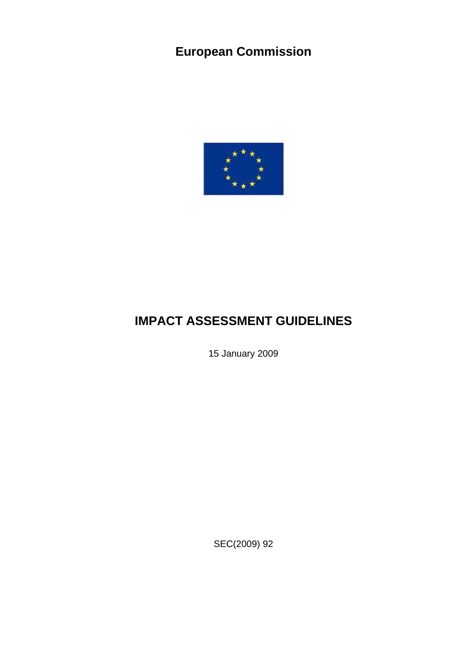# <span id="page-0-0"></span>**European Commission**



# **IMPACT ASSESSMENT GUIDELINES**

15 January 2009

SEC(2009) 92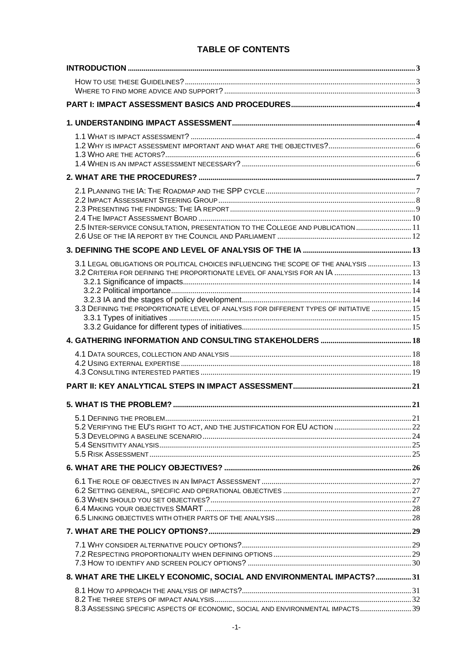# **TABLE OF CONTENTS**

| 2.5 INTER-SERVICE CONSULTATION, PRESENTATION TO THE COLLEGE AND PUBLICATION  11        |  |
|----------------------------------------------------------------------------------------|--|
|                                                                                        |  |
|                                                                                        |  |
| 3.1 LEGAL OBLIGATIONS OR POLITICAL CHOICES INFLUENCING THE SCOPE OF THE ANALYSIS  13   |  |
|                                                                                        |  |
|                                                                                        |  |
|                                                                                        |  |
| 3.3 DEFINING THE PROPORTIONATE LEVEL OF ANALYSIS FOR DIFFERENT TYPES OF INITIATIVE  15 |  |
|                                                                                        |  |
|                                                                                        |  |
|                                                                                        |  |
|                                                                                        |  |
|                                                                                        |  |
|                                                                                        |  |
|                                                                                        |  |
|                                                                                        |  |
|                                                                                        |  |
|                                                                                        |  |
|                                                                                        |  |
|                                                                                        |  |
|                                                                                        |  |
|                                                                                        |  |
|                                                                                        |  |
|                                                                                        |  |
|                                                                                        |  |
|                                                                                        |  |
|                                                                                        |  |
|                                                                                        |  |
| 8. WHAT ARE THE LIKELY ECONOMIC, SOCIAL AND ENVIRONMENTAL IMPACTS?31                   |  |
|                                                                                        |  |
|                                                                                        |  |
| 8.3 ASSESSING SPECIFIC ASPECTS OF ECONOMIC, SOCIAL AND ENVIRONMENTAL IMPACTS 39        |  |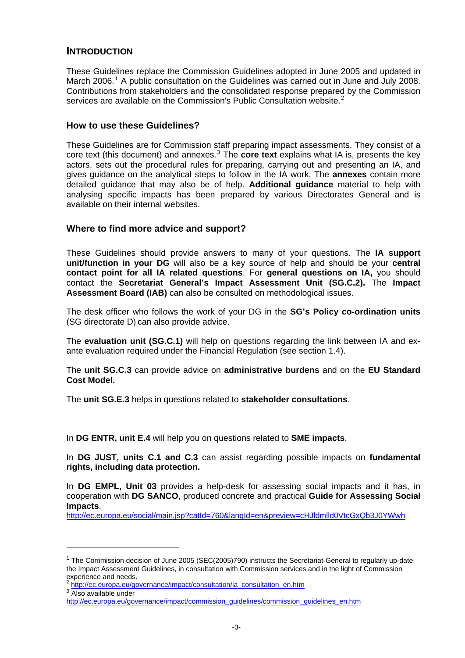# <span id="page-3-0"></span>**INTRODUCTION**

These Guidelines replace the Commission Guidelines adopted in June 2005 and updated in March 2006.<sup>[1](#page-3-1)</sup> A public consultation on the Guidelines was carried out in June and July 2008. Contributions from stakeholders and the consolidated response prepared by the Commission services are available on the Commission's Public Consultation website.<sup>[2](#page-3-2)</sup>

#### **How to use these Guidelines?**

These Guidelines are for Commission staff preparing impact assessments. They consist of a core text (this document) and annexes.<sup>[3](#page-3-3)</sup> The **core text** explains what IA is, presents the key actors, sets out the procedural rules for preparing, carrying out and presenting an IA, and gives guidance on the analytical steps to follow in the IA work. The **annexes** contain more detailed guidance that may also be of help. **Additional guidance** material to help with analysing specific impacts has been prepared by various Directorates General and is available on their internal websites.

# **Where to find more advice and support?**

These Guidelines should provide answers to many of your questions. The **IA support unit/function in your DG** will also be a key source of help and should be your **central contact point for all IA related questions**. For **general questions on IA,** you should contact the **Secretariat General's Impact Assessment Unit (SG.C.2).** The **Impact Assessment Board (IAB)** can also be consulted on methodological issues.

The desk officer who follows the work of your DG in the **SG's Policy co-ordination units** (SG directorate D) can also provide advice.

The **evaluation unit (SG.C.1)** will help on questions regarding the link between IA and exante evaluation required under the Financial Regulation (see section 1.4).

The **unit SG.C.3** can provide advice on **administrative burdens** and on the **EU Standard Cost Model.** 

The **unit SG.E.3** helps in questions related to **stakeholder consultations**.

In **DG ENTR, unit E.4** will help you on questions related to **SME impacts**.

In **DG JUST, units C.1 and C.3** can assist regarding possible impacts on **fundamental rights, including data protection.** 

In **DG EMPL, Unit 03** provides a help-desk for assessing social impacts and it has, in cooperation with **DG SANCO**, produced concrete and practical **[Guide for Assessing Social](http://ec.europa.eu/social/main.jsp?catId=760&langId=de&preview=cHJldmlld0VtcGxQb3J0YWwh)  [Impacts](http://ec.europa.eu/social/main.jsp?catId=760&langId=de&preview=cHJldmlld0VtcGxQb3J0YWwh)**.

<http://ec.europa.eu/social/main.jsp?catId=760&langId=en&preview=cHJldmlld0VtcGxQb3J0YWwh>

 $\overline{a}$ 

<span id="page-3-1"></span> $1$  The Commission decision of June 2005 (SEC(2005)790) instructs the Secretariat-General to regularly up-date the Impact Assessment Guidelines, in consultation with Commission services and in the light of Commission experience and needs.

<span id="page-3-2"></span><sup>2</sup> [http://ec.europa.eu/governance/impact/consultation/ia\\_consultation\\_en.htm](http://ec.europa.eu/governance/impact/consultation/ia_consultation_en.htm)

<sup>&</sup>lt;sup>3</sup> Also available under

<span id="page-3-3"></span>[http://ec.europa.eu/governance/impact/commission\\_guidelines/commission\\_guidelines\\_en.htm](http://ec.europa.eu/governance/impact/commission_guidelines/commission_guidelines_en.htm)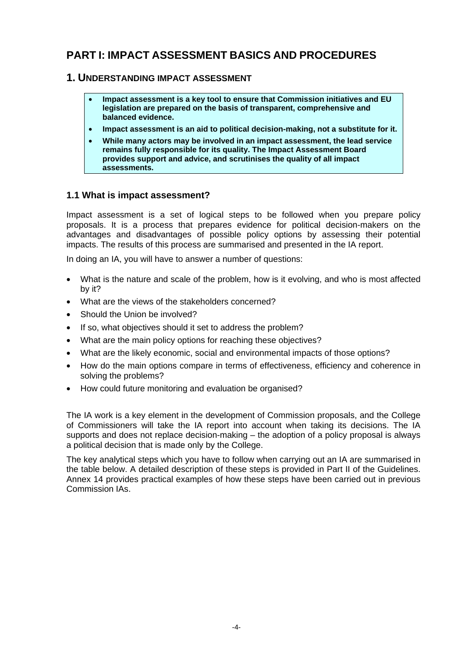# <span id="page-4-0"></span>**PART I: IMPACT ASSESSMENT BASICS AND PROCEDURES**

# **1. UNDERSTANDING IMPACT ASSESSMENT**

- **Impact assessment is a key tool to ensure that Commission initiatives and EU legislation are prepared on the basis of transparent, comprehensive and balanced evidence.**
- **Impact assessment is an aid to political decision-making, not a substitute for it.**
- **While many actors may be involved in an impact assessment, the lead service remains fully responsible for its quality. The Impact Assessment Board provides support and advice, and scrutinises the quality of all impact assessments.**

# **1.1 What is impact assessment?**

Impact assessment is a set of logical steps to be followed when you prepare policy proposals. It is a process that prepares evidence for political decision-makers on the advantages and disadvantages of possible policy options by assessing their potential impacts. The results of this process are summarised and presented in the IA report.

In doing an IA, you will have to answer a number of questions:

- What is the nature and scale of the problem, how is it evolving, and who is most affected by it?
- What are the views of the stakeholders concerned?
- Should the Union be involved?
- If so, what objectives should it set to address the problem?
- What are the main policy options for reaching these objectives?
- What are the likely economic, social and environmental impacts of those options?
- How do the main options compare in terms of effectiveness, efficiency and coherence in solving the problems?
- How could future monitoring and evaluation be organised?

The IA work is a key element in the development of Commission proposals, and the College of Commissioners will take the IA report into account when taking its decisions. The IA supports and does not replace decision-making – the adoption of a policy proposal is always a political decision that is made only by the College.

The key analytical steps which you have to follow when carrying out an IA are summarised in the table below. A detailed description of these steps is provided in Part II of the Guidelines. Annex 14 provides practical examples of how these steps have been carried out in previous Commission IAs.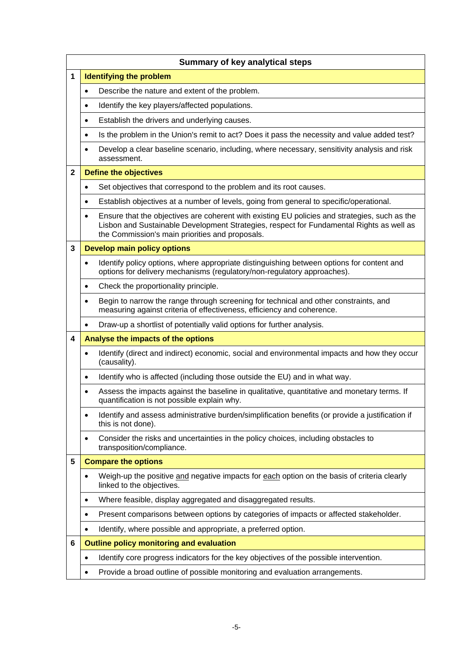|              | <b>Summary of key analytical steps</b>                                                                                                                                                                                                                    |  |  |
|--------------|-----------------------------------------------------------------------------------------------------------------------------------------------------------------------------------------------------------------------------------------------------------|--|--|
| 1            | <b>Identifying the problem</b>                                                                                                                                                                                                                            |  |  |
|              | Describe the nature and extent of the problem.<br>$\bullet$                                                                                                                                                                                               |  |  |
|              | Identify the key players/affected populations.<br>$\bullet$                                                                                                                                                                                               |  |  |
|              | Establish the drivers and underlying causes.<br>٠                                                                                                                                                                                                         |  |  |
|              | Is the problem in the Union's remit to act? Does it pass the necessity and value added test?<br>$\bullet$                                                                                                                                                 |  |  |
|              | Develop a clear baseline scenario, including, where necessary, sensitivity analysis and risk<br>٠<br>assessment.                                                                                                                                          |  |  |
| $\mathbf{2}$ | <b>Define the objectives</b>                                                                                                                                                                                                                              |  |  |
|              | Set objectives that correspond to the problem and its root causes.<br>$\bullet$                                                                                                                                                                           |  |  |
|              | Establish objectives at a number of levels, going from general to specific/operational.<br>$\bullet$                                                                                                                                                      |  |  |
|              | Ensure that the objectives are coherent with existing EU policies and strategies, such as the<br>$\bullet$<br>Lisbon and Sustainable Development Strategies, respect for Fundamental Rights as well as<br>the Commission's main priorities and proposals. |  |  |
| 3            | <b>Develop main policy options</b>                                                                                                                                                                                                                        |  |  |
|              | Identify policy options, where appropriate distinguishing between options for content and<br>$\bullet$<br>options for delivery mechanisms (regulatory/non-regulatory approaches).                                                                         |  |  |
|              | Check the proportionality principle.<br>$\bullet$                                                                                                                                                                                                         |  |  |
|              | Begin to narrow the range through screening for technical and other constraints, and<br>$\bullet$<br>measuring against criteria of effectiveness, efficiency and coherence.                                                                               |  |  |
|              | Draw-up a shortlist of potentially valid options for further analysis.<br>$\bullet$                                                                                                                                                                       |  |  |
| 4            | Analyse the impacts of the options                                                                                                                                                                                                                        |  |  |
|              | Identify (direct and indirect) economic, social and environmental impacts and how they occur<br>$\bullet$<br>(causality).                                                                                                                                 |  |  |
|              | Identify who is affected (including those outside the EU) and in what way.<br>$\bullet$                                                                                                                                                                   |  |  |
|              | Assess the impacts against the baseline in qualitative, quantitative and monetary terms. If<br>$\bullet$<br>quantification is not possible explain why.                                                                                                   |  |  |
|              | Identify and assess administrative burden/simplification benefits (or provide a justification if<br>$\bullet$<br>this is not done).                                                                                                                       |  |  |
|              | Consider the risks and uncertainties in the policy choices, including obstacles to<br>$\bullet$<br>transposition/compliance.                                                                                                                              |  |  |
| 5            | <b>Compare the options</b>                                                                                                                                                                                                                                |  |  |
|              | Weigh-up the positive and negative impacts for each option on the basis of criteria clearly<br>٠<br>linked to the objectives.                                                                                                                             |  |  |
|              | Where feasible, display aggregated and disaggregated results.<br>٠                                                                                                                                                                                        |  |  |
|              | Present comparisons between options by categories of impacts or affected stakeholder.<br>$\bullet$                                                                                                                                                        |  |  |
|              | Identify, where possible and appropriate, a preferred option.<br>٠                                                                                                                                                                                        |  |  |
| 6            | <b>Outline policy monitoring and evaluation</b>                                                                                                                                                                                                           |  |  |
|              | Identify core progress indicators for the key objectives of the possible intervention.<br>$\bullet$                                                                                                                                                       |  |  |
|              | Provide a broad outline of possible monitoring and evaluation arrangements.<br>$\bullet$                                                                                                                                                                  |  |  |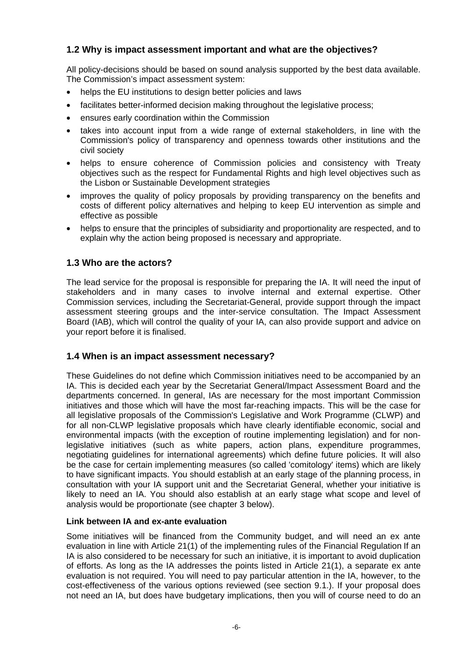# <span id="page-6-0"></span>**1.2 Why is impact assessment important and what are the objectives?**

All policy-decisions should be based on sound analysis supported by the best data available. The Commission's impact assessment system:

- helps the EU institutions to design better policies and laws
- facilitates better-informed decision making throughout the legislative process;
- ensures early coordination within the Commission
- takes into account input from a wide range of external stakeholders, in line with the Commission's policy of transparency and openness towards other institutions and the civil society
- helps to ensure coherence of Commission policies and consistency with Treaty objectives such as the respect for Fundamental Rights and high level objectives such as the Lisbon or Sustainable Development strategies
- improves the quality of policy proposals by providing transparency on the benefits and costs of different policy alternatives and helping to keep EU intervention as simple and effective as possible
- helps to ensure that the principles of subsidiarity and proportionality are respected, and to explain why the action being proposed is necessary and appropriate.

# **1.3 Who are the actors?**

The lead service for the proposal is responsible for preparing the IA. It will need the input of stakeholders and in many cases to involve internal and external expertise. Other Commission services, including the Secretariat-General, provide support through the impact assessment steering groups and the inter-service consultation. The Impact Assessment Board (IAB), which will control the quality of your IA, can also provide support and advice on your report before it is finalised.

# **1.4 When is an impact assessment necessary?**

These Guidelines do not define which Commission initiatives need to be accompanied by an IA. This is decided each year by the Secretariat General/Impact Assessment Board and the departments concerned. In general, IAs are necessary for the most important Commission initiatives and those which will have the most far-reaching impacts. This will be the case for all legislative proposals of the Commission's Legislative and Work Programme (CLWP) and for all non-CLWP legislative proposals which have clearly identifiable economic, social and environmental impacts (with the exception of routine implementing legislation) and for nonlegislative initiatives (such as white papers, action plans, expenditure programmes, negotiating guidelines for international agreements) which define future policies. It will also be the case for certain implementing measures (so called 'comitology' items) which are likely to have significant impacts. You should establish at an early stage of the planning process, in consultation with your IA support unit and the Secretariat General, whether your initiative is likely to need an IA. You should also establish at an early stage what scope and level of analysis would be proportionate (see chapter 3 below).

#### **Link between IA and ex-ante evaluation**

Some initiatives will be financed from the Community budget, and will need an ex ante evaluation in line with Article 21(1) of the implementing rules of the Financial Regulation If an IA is also considered to be necessary for such an initiative, it is important to avoid duplication of efforts. As long as the IA addresses the points listed in Article 21(1), a separate ex ante evaluation is not required. You will need to pay particular attention in the IA, however, to the cost-effectiveness of the various options reviewed (see section 9.1.). If your proposal does not need an IA, but does have budgetary implications, then you will of course need to do an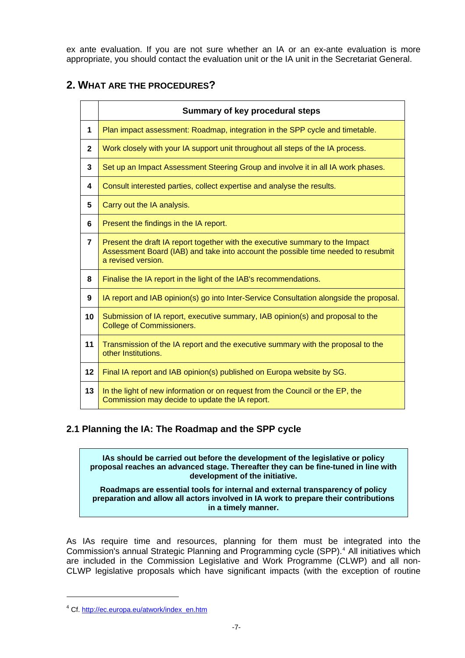<span id="page-7-0"></span>ex ante evaluation. If you are not sure whether an IA or an ex-ante evaluation is more appropriate, you should contact the evaluation unit or the IA unit in the Secretariat General.

# **2. WHAT ARE THE PROCEDURES?**

|                  | Summary of key procedural steps                                                                                                                                                          |
|------------------|------------------------------------------------------------------------------------------------------------------------------------------------------------------------------------------|
| 1                | Plan impact assessment: Roadmap, integration in the SPP cycle and timetable.                                                                                                             |
| $\mathbf 2$      | Work closely with your IA support unit throughout all steps of the IA process.                                                                                                           |
| 3                | Set up an Impact Assessment Steering Group and involve it in all IA work phases.                                                                                                         |
| 4                | Consult interested parties, collect expertise and analyse the results.                                                                                                                   |
| 5                | Carry out the IA analysis.                                                                                                                                                               |
| 6                | Present the findings in the IA report.                                                                                                                                                   |
| $\overline{7}$   | Present the draft IA report together with the executive summary to the Impact<br>Assessment Board (IAB) and take into account the possible time needed to resubmit<br>a revised version. |
| 8                | Finalise the IA report in the light of the IAB's recommendations.                                                                                                                        |
| $\boldsymbol{9}$ | IA report and IAB opinion(s) go into Inter-Service Consultation alongside the proposal.                                                                                                  |
| 10               | Submission of IA report, executive summary, IAB opinion(s) and proposal to the<br><b>College of Commissioners.</b>                                                                       |
| 11               | Transmission of the IA report and the executive summary with the proposal to the<br>other Institutions.                                                                                  |
| 12               | Final IA report and IAB opinion(s) published on Europa website by SG.                                                                                                                    |
| 13               | In the light of new information or on request from the Council or the EP, the<br>Commission may decide to update the IA report.                                                          |

# **2.1 Planning the IA: The Roadmap and the SPP cycle**

**IAs should be carried out before the development of the legislative or policy proposal reaches an advanced stage. Thereafter they can be fine-tuned in line with development of the initiative.** 

**Roadmaps are essential tools for internal and external transparency of policy preparation and allow all actors involved in IA work to prepare their contributions in a timely manner.** 

As IAs require time and resources, planning for them must be integrated into the Commission's annual Strategic Planning and Programming cycle (SPP).<sup>[4](#page-7-1)</sup> All initiatives which are included in the Commission Legislative and Work Programme (CLWP) and all non-CLWP legislative proposals which have significant impacts (with the exception of routine

1

<span id="page-7-1"></span><sup>&</sup>lt;sup>4</sup> Cf. [http://ec.europa.eu/atwork/index\\_en.htm](http://ec.europa.eu/atwork/index_en.htm)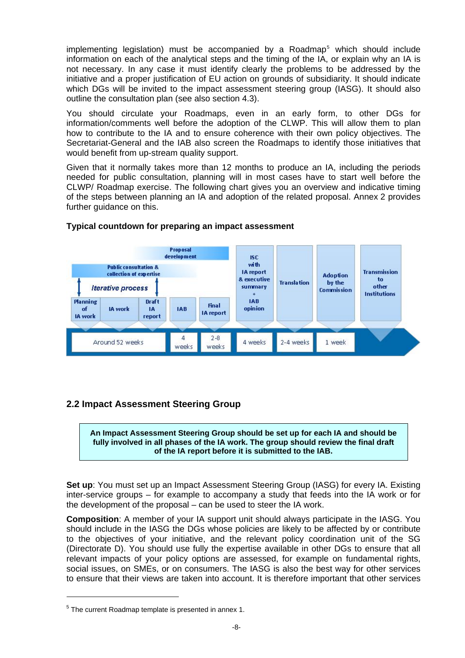<span id="page-8-0"></span>implementing legislation) must be accompanied by a Roadmap<sup>[5](#page-8-1)</sup> which should include information on each of the analytical steps and the timing of the IA, or explain why an IA is not necessary. In any case it must identify clearly the problems to be addressed by the initiative and a proper justification of EU action on grounds of subsidiarity. It should indicate which DGs will be invited to the impact assessment steering group (IASG). It should also outline the consultation plan (see also section 4.3).

You should circulate your Roadmaps, even in an early form, to other DGs for information/comments well before the adoption of the CLWP. This will allow them to plan how to contribute to the IA and to ensure coherence with their own policy objectives. The Secretariat-General and the IAB also screen the Roadmaps to identify those initiatives that would benefit from up-stream quality support.

Given that it normally takes more than 12 months to produce an IA, including the periods needed for public consultation, planning will in most cases have to start well before the CLWP/ Roadmap exercise. The following chart gives you an overview and indicative timing of the steps between planning an IA and adoption of the related proposal. Annex 2 provides further quidance on this.



#### **Typical countdown for preparing an impact assessment**

# **2.2 Impact Assessment Steering Group**

**An Impact Assessment Steering Group should be set up for each IA and should be fully involved in all phases of the IA work. The group should review the final draft of the IA report before it is submitted to the IAB.** 

**Set up**: You must set up an Impact Assessment Steering Group (IASG) for every IA. Existing inter-service groups – for example to accompany a study that feeds into the IA work or for the development of the proposal – can be used to steer the IA work.

**Composition**: A member of your IA support unit should always participate in the IASG. You should include in the IASG the DGs whose policies are likely to be affected by or contribute to the objectives of your initiative, and the relevant policy coordination unit of the SG (Directorate D). You should use fully the expertise available in other DGs to ensure that all relevant impacts of your policy options are assessed, for example on fundamental rights, social issues, on SMEs, or on consumers. The IASG is also the best way for other services to ensure that their views are taken into account. It is therefore important that other services

1

<span id="page-8-1"></span> $5$  The current Roadmap template is presented in annex 1.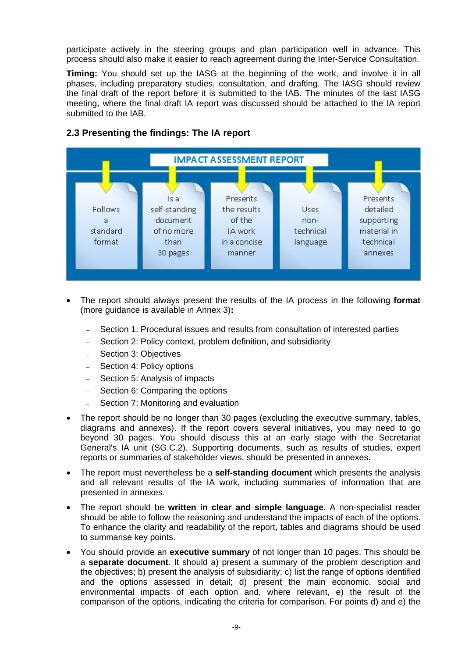<span id="page-9-0"></span>participate actively in the steering groups and plan participation well in advance. This process should also make it easier to reach agreement during the Inter-Service Consultation.

**Timing:** You should set up the IASG at the beginning of the work, and involve it in all phases, including preparatory studies, consultation, and drafting. The IASG should review the final draft of the report before it is submitted to the IAB. The minutes of the last IASG meeting, where the final draft IA report was discussed should be attached to the IA report submitted to the IAB.



# **2.3 Presenting the findings: The IA report**

- The report should always present the results of the IA process in the following **format**  (more guidance is available in Annex 3)**:**
	- Section 1: Procedural issues and results from consultation of interested parties
	- Section 2: Policy context, problem definition, and subsidiarity
	- Section 3: Objectives
	- − Section 4: Policy options
	- − Section 5: Analysis of impacts
	- − Section 6: Comparing the options
	- − Section 7: Monitoring and evaluation
- The report should be no longer than 30 pages (excluding the executive summary, tables, diagrams and annexes). If the report covers several initiatives, you may need to go beyond 30 pages. You should discuss this at an early stage with the Secretariat General's IA unit (SG.C.2). Supporting documents, such as results of studies, expert reports or summaries of stakeholder views, should be presented in annexes.
- The report must nevertheless be a **self-standing document** which presents the analysis and all relevant results of the IA work, including summaries of information that are presented in annexes.
- The report should be **written in clear and simple language**. A non-specialist reader should be able to follow the reasoning and understand the impacts of each of the options. To enhance the clarity and readability of the report, tables and diagrams should be used to summarise key points.
- You should provide an **executive summary** of not longer than 10 pages. This should be a **separate document**. It should a) present a summary of the problem description and the objectives; b) present the analysis of subsidiarity; c) list the range of options identified and the options assessed in detail; d) present the main economic, social and environmental impacts of each option and, where relevant, e) the result of the comparison of the options, indicating the criteria for comparison. For points d) and e) the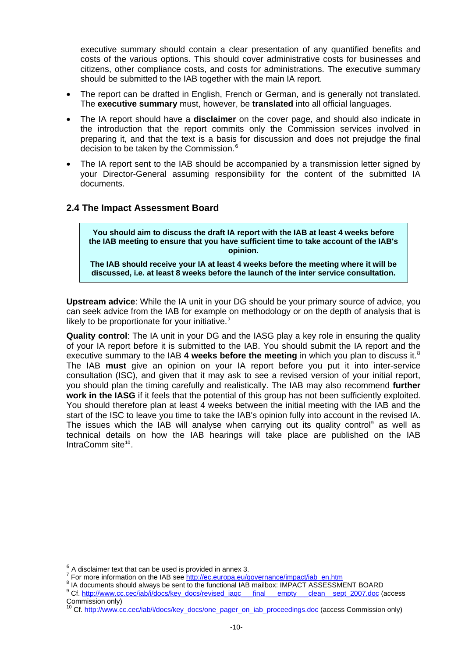<span id="page-10-0"></span>executive summary should contain a clear presentation of any quantified benefits and costs of the various options. This should cover administrative costs for businesses and citizens, other compliance costs, and costs for administrations. The executive summary should be submitted to the IAB together with the main IA report.

- The report can be drafted in English, French or German, and is generally not translated. The **executive summary** must, however, be **translated** into all official languages.
- The IA report should have a **disclaimer** on the cover page, and should also indicate in the introduction that the report commits only the Commission services involved in preparing it, and that the text is a basis for discussion and does not prejudge the final decision to be taken by the Commission.<sup>[6](#page-10-1)</sup>
- The IA report sent to the IAB should be accompanied by a transmission letter signed by your Director-General assuming responsibility for the content of the submitted IA documents.

# **2.4 The Impact Assessment Board**

**You should aim to discuss the draft IA report with the IAB at least 4 weeks before the IAB meeting to ensure that you have sufficient time to take account of the IAB's opinion.** 

**The IAB should receive your IA at least 4 weeks before the meeting where it will be discussed, i.e. at least 8 weeks before the launch of the inter service consultation.** 

**Upstream advice**: While the IA unit in your DG should be your primary source of advice, you can seek advice from the IAB for example on methodology or on the depth of analysis that is likely to be proportionate for your initiative.<sup>[7](#page-10-2)</sup>

**Quality control**: The IA unit in your DG and the IASG play a key role in ensuring the quality of your IA report before it is submitted to the IAB. You should submit the IA report and the executive summary to the IAB 4 weeks before the meeting in which you plan to discuss it.<sup>[8](#page-10-3)</sup> The IAB **must** give an opinion on your IA report before you put it into inter-service consultation (ISC), and given that it may ask to see a revised version of your initial report, you should plan the timing carefully and realistically. The IAB may also recommend **further**  work in the IASG if it feels that the potential of this group has not been sufficiently exploited. You should therefore plan at least 4 weeks between the initial meeting with the IAB and the start of the ISC to leave you time to take the IAB's opinion fully into account in the revised IA. The issues which the IAB will analyse when carrying out its quality control<sup>[9](#page-10-4)</sup> as well as technical details on how the IAB hearings will take place are published on the IAB IntraComm site<sup>[10](#page-10-5)</sup>.

-

<span id="page-10-4"></span><span id="page-10-3"></span><span id="page-10-2"></span><sup>8</sup> IA documents should always be sent to the functional IAB mailbox: IMPACT ASSESSMENT BOARD <sup>9</sup> Cf. [http://www.cc.cec/iab/i/docs/key\\_docs/revised\\_iaqc\\_\\_\\_final\\_\\_\\_empty\\_\\_\\_clean\\_\\_sept\\_2007.doc](http://www.cc.cec/iab/i/docs/key_docs/revised_iaqc___final___empty___clean__sept_2007.doc) (access

<span id="page-10-1"></span> $6$  A disclaimer text that can be used is provided in annex 3.

<sup>&</sup>lt;sup>7</sup> For more information on the IAB see  $\frac{http://ec.europa.eu/governance/impact/iah-en..htm}_{\{8,10\}}$ 

Commission only)

<span id="page-10-5"></span><sup>&</sup>lt;sup>10</sup> Cf. [http://www.cc.cec/iab/i/docs/key\\_docs/one\\_pager\\_on\\_iab\\_proceedings.doc](http://www.cc.cec/iab/i/docs/key_docs/one_pager_on_iab_proceedings.doc) (access Commission only)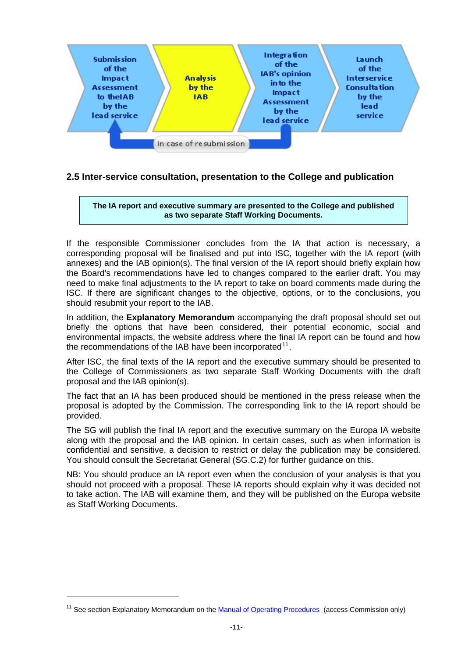<span id="page-11-0"></span>

# **2.5 Inter-service consultation, presentation to the College and publication**

**The IA report and executive summary are presented to the College and published as two separate Staff Working Documents.** 

If the responsible Commissioner concludes from the IA that action is necessary, a corresponding proposal will be finalised and put into ISC, together with the IA report (with annexes) and the IAB opinion(s). The final version of the IA report should briefly explain how the Board's recommendations have led to changes compared to the earlier draft. You may need to make final adjustments to the IA report to take on board comments made during the ISC. If there are significant changes to the objective, options, or to the conclusions, you should resubmit your report to the IAB.

In addition, the **Explanatory Memorandum** accompanying the draft proposal should set out briefly the options that have been considered, their potential economic, social and environmental impacts, the website address where the final IA report can be found and how the recommendations of the IAB have been incorporated<sup>[11](#page-11-1)</sup>.

After ISC, the final texts of the IA report and the executive summary should be presented to the College of Commissioners as two separate Staff Working Documents with the draft proposal and the IAB opinion(s).

The fact that an IA has been produced should be mentioned in the press release when the proposal is adopted by the Commission. The corresponding link to the IA report should be provided.

The SG will publish the final IA report and the executive summary on the Europa IA website along with the proposal and the IAB opinio[n.](#page-0-0) In certain cases, such as when information is confidential and sensitive, a decision to restrict or delay the publication may be considered. You should consult the Secretariat General (SG.C.2) for further guidance on this.

NB: You should produce an IA report even when the conclusion of your analysis is that you should not proceed with a proposal. These IA reports should explain why it was decided not to take action. The IAB will examine them, and they will be published on the Europa website as Staff Working Documents.

1

<span id="page-11-1"></span><sup>&</sup>lt;sup>11</sup> See section Explanatory Memorandum on the **Manual of Operating Procedures** (access Commission only)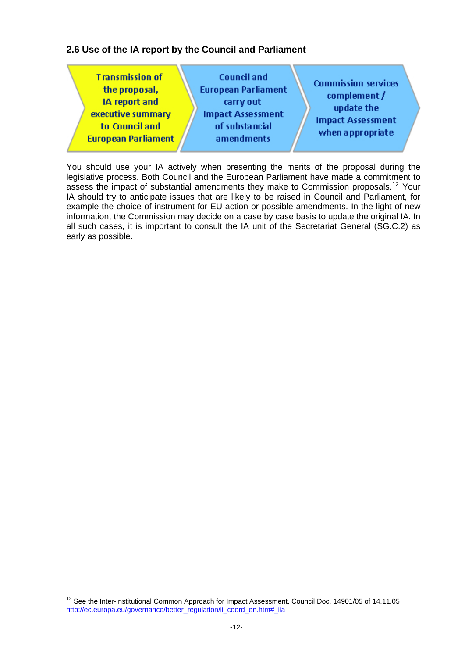# <span id="page-12-0"></span>**2.6 Use of the IA report by the Council and Parliament**

You should use your IA actively when presenting the merits of the proposal during the legislative process. Both Council and the European Parliament have made a commitment to assess the impact of substantial amendments they make to Commission proposals.<sup>[12](#page-12-1)</sup> Your IA should try to anticipate issues that are likely to be raised in Council and Parliament, for example the choice of instrument for EU action or possible amendments. In the light of new information, the Commission may decide on a case by case basis to update the original IA. In all such cases, it is important to consult the IA unit of the Secretariat General (SG.C.2) as early as possible.

1

<span id="page-12-1"></span><sup>&</sup>lt;sup>12</sup> See the Inter-Institutional Common Approach for Impact Assessment, Council Doc. 14901/05 of 14.11.05 [http://ec.europa.eu/governance/better\\_regulation/ii\\_coord\\_en.htm#\\_iia](http://ec.europa.eu/governance/better_regulation/ii_coord_en.htm#_iia) .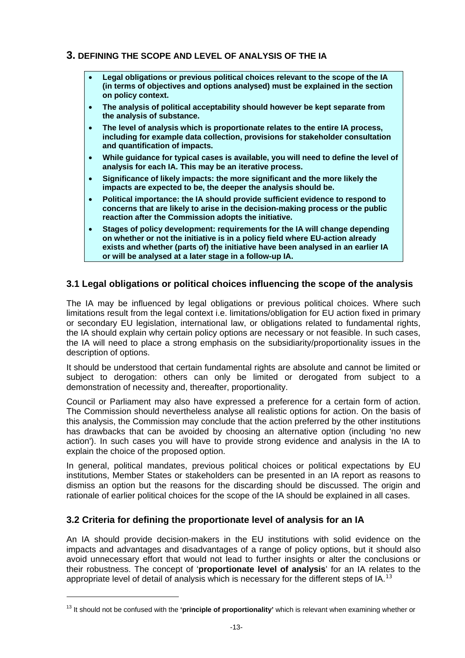# <span id="page-13-0"></span>**3. DEFINING THE SCOPE AND LEVEL OF ANALYSIS OF THE IA**

- **Legal obligations or previous political choices relevant to the scope of the IA (in terms of objectives and options analysed) must be explained in the section on policy context.**
- **The analysis of political acceptability should however be kept separate from the analysis of substance.**
- **The level of analysis which is proportionate relates to the entire IA process, including for example data collection, provisions for stakeholder consultation and quantification of impacts.**
- **While guidance for typical cases is available, you will need to define the level of analysis for each IA. This may be an iterative process.**
- **Significance of likely impacts: the more significant and the more likely the impacts are expected to be, the deeper the analysis should be.**
- **Political importance: the IA should provide sufficient evidence to respond to concerns that are likely to arise in the decision-making process or the public reaction after the Commission adopts the initiative.**
- **Stages of policy development: requirements for the IA will change depending on whether or not the initiative is in a policy field where EU-action already exists and whether (parts of) the initiative have been analysed in an earlier IA or will be analysed at a later stage in a follow-up IA.**

# **3.1 Legal obligations or political choices influencing the scope of the analysis**

The IA may be influenced by legal obligations or previous political choices. Where such limitations result from the legal context i.e. limitations/obligation for EU action fixed in primary or secondary EU legislation, international law, or obligations related to fundamental rights, the IA should explain why certain policy options are necessary or not feasible. In such cases, the IA will need to place a strong emphasis on the subsidiarity/proportionality issues in the description of options.

It should be understood that certain fundamental rights are absolute and cannot be limited or subject to derogation: others can only be limited or derogated from subject to a demonstration of necessity and, thereafter, proportionality.

Council or Parliament may also have expressed a preference for a certain form of action. The Commission should nevertheless analyse all realistic options for action. On the basis of this analysis, the Commission may conclude that the action preferred by the other institutions has drawbacks that can be avoided by choosing an alternative option (including 'no new action'). In such cases you will have to provide strong evidence and analysis in the IA to explain the choice of the proposed option.

In general, political mandates, previous political choices or political expectations by EU institutions, Member States or stakeholders can be presented in an IA report as reasons to dismiss an option but the reasons for the discarding should be discussed. The origin and rationale of earlier political choices for the scope of the IA should be explained in all cases.

# **3.2 Criteria for defining the proportionate level of analysis for an IA**

1

An IA should provide decision-makers in the EU institutions with solid evidence on the impacts and advantages and disadvantages of a range of policy options, but it should also avoid unnecessary effort that would not lead to further insights or alter the conclusions or their robustness. The concept of '**proportionate level of analysis**' for an IA relates to the appropriate level of detail of analysis which is necessary for the different steps of IA.<sup>[13](#page-13-1)</sup>

<span id="page-13-1"></span><sup>13</sup> It should not be confused with the **'principle of proportionality'** which is relevant when examining whether or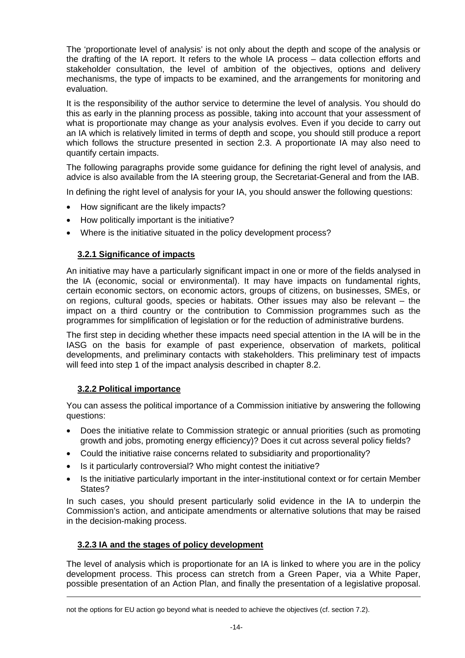<span id="page-14-0"></span>The 'proportionate level of analysis' is not only about the depth and scope of the analysis or the drafting of the IA report. It refers to the whole IA process – data collection efforts and stakeholder consultation, the level of ambition of the objectives, options and delivery mechanisms, the type of impacts to be examined, and the arrangements for monitoring and evaluation.

It is the responsibility of the author service to determine the level of analysis. You should do this as early in the planning process as possible, taking into account that your assessment of what is proportionate may change as your analysis evolves. Even if you decide to carry out an IA which is relatively limited in terms of depth and scope, you should still produce a report which follows the structure presented in section 2.3. A proportionate IA may also need to quantify certain impacts.

The following paragraphs provide some guidance for defining the right level of analysis, and advice is also available from the IA steering group, the Secretariat-General and from the IAB.

In defining the right level of analysis for your IA, you should answer the following questions:

- How significant are the likely impacts?
- How politically important is the initiative?
- Where is the initiative situated in the policy development process?

# **3.2.1 Significance of impacts**

An initiative may have a particularly significant impact in one or more of the fields analysed in the IA (economic, social or environmental). It may have impacts on fundamental rights, certain economic sectors, on economic actors, groups of citizens, on businesses, SMEs, or on regions, cultural goods, species or habitats. Other issues may also be relevant – the impact on a third country or the contribution to Commission programmes such as the programmes for simplification of legislation or for the reduction of administrative burdens.

The first step in deciding whether these impacts need special attention in the IA will be in the IASG on the basis for example of past experience, observation of markets, political developments, and preliminary contacts with stakeholders. This preliminary test of impacts will feed into step 1 of the impact analysis described in chapter 8.2.

#### **3.2.2 Political importance**

You can assess the political importance of a Commission initiative by answering the following questions:

- Does the initiative relate to Commission strategic or annual priorities (such as promoting growth and jobs, promoting energy efficiency)? Does it cut across several policy fields?
- Could the initiative raise concerns related to subsidiarity and proportionality?
- Is it particularly controversial? Who might contest the initiative?
- Is the initiative particularly important in the inter-institutional context or for certain Member States?

In such cases, you should present particularly solid evidence in the IA to underpin the Commission's action, and anticipate amendments or alternative solutions that may be raised in the decision-making process.

#### **3.2.3 IA and the stages of policy development**

The level of analysis which is proportionate for an IA is linked to where you are in the policy development process. This process can stretch from a Green Paper, via a White Paper, possible presentation of an Action Plan, and finally the presentation of a legislative proposal.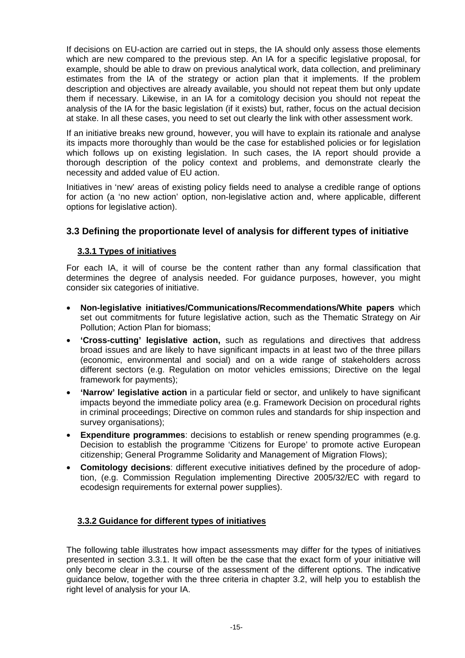<span id="page-15-0"></span>If decisions on EU-action are carried out in steps, the IA should only assess those elements which are new compared to the previous step. An IA for a specific legislative proposal, for example, should be able to draw on previous analytical work, data collection, and preliminary estimates from the IA of the strategy or action plan that it implements. If the problem description and objectives are already available, you should not repeat them but only update them if necessary. Likewise, in an IA for a comitology decision you should not repeat the analysis of the IA for the basic legislation (if it exists) but, rather, focus on the actual decision at stake. In all these cases, you need to set out clearly the link with other assessment work.

If an initiative breaks new ground, however, you will have to explain its rationale and analyse its impacts more thoroughly than would be the case for established policies or for legislation which follows up on existing legislation. In such cases, the IA report should provide a thorough description of the policy context and problems, and demonstrate clearly the necessity and added value of EU action.

Initiatives in 'new' areas of existing policy fields need to analyse a credible range of options for action (a 'no new action' option, non-legislative action and, where applicable, different options for legislative action).

# **3.3 Defining the proportionate level of analysis for different types of initiative**

# **3.3.1 Types of initiatives**

For each IA, it will of course be the content rather than any formal classification that determines the degree of analysis needed. For guidance purposes, however, you might consider six categories of initiative.

- **Non-legislative initiatives/Communications/Recommendations/White papers** which set out commitments for future legislative action, such as the Thematic Strategy on Air Pollution; Action Plan for biomass;
- **'Cross-cutting' legislative action,** such as regulations and directives that address broad issues and are likely to have significant impacts in at least two of the three pillars (economic, environmental and social) and on a wide range of stakeholders across different sectors (e.g. Regulation on motor vehicles emissions; Directive on the legal framework for payments);
- **'Narrow' legislative action** in a particular field or sector, and unlikely to have significant impacts beyond the immediate policy area (e.g. Framework Decision on procedural rights in criminal proceedings; Directive on common rules and standards for ship inspection and survey organisations);
- **Expenditure programmes**: decisions to establish or renew spending programmes (e.g. Decision to establish the programme 'Citizens for Europe' to promote active European citizenship; General Programme Solidarity and Management of Migration Flows);
- **Comitology decisions**: different executive initiatives defined by the procedure of adoption, (e.g. Commission Regulation implementing Directive 2005/32/EC with regard to ecodesign requirements for external power supplies).

#### **3.3.2 Guidance for different types of initiatives**

The following table illustrates how impact assessments may differ for the types of initiatives presented in section 3.3.1. It will often be the case that the exact form of your initiative will only become clear in the course of the assessment of the different options. The indicative guidance below, together with the three criteria in chapter 3.2, will help you to establish the right level of analysis for your IA.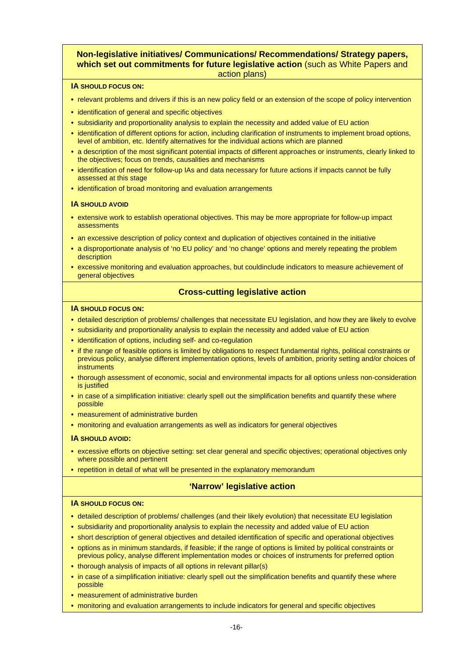#### **Non-legislative initiatives/ Communications/ Recommendations/ Strategy papers, which set out commitments for future legislative action** (such as White Papers and action plans)

#### **IA SHOULD FOCUS ON:**

- relevant problems and drivers if this is an new policy field or an extension of the scope of policy intervention
- identification of general and specific objectives
- subsidiarity and proportionality analysis to explain the necessity and added value of EU action
- identification of different options for action, including clarification of instruments to implement broad options, level of ambition, etc. Identify alternatives for the individual actions which are planned
- a description of the most significant potential impacts of different approaches or instruments, clearly linked to the objectives; focus on trends, causalities and mechanisms
- identification of need for follow-up IAs and data necessary for future actions if impacts cannot be fully assessed at this stage
- identification of broad monitoring and evaluation arrangements

#### **IA SHOULD AVOID**

- extensive work to establish operational objectives. This may be more appropriate for follow-up impact assessments
- an excessive description of policy context and duplication of objectives contained in the initiative
- a disproportionate analysis of 'no EU policy' and 'no change' options and merely repeating the problem description
- excessive monitoring and evaluation approaches, but couldinclude indicators to measure achievement of general objectives

#### **Cross-cutting legislative action**

#### **IA SHOULD FOCUS ON:**

- detailed description of problems/ challenges that necessitate EU legislation, and how they are likely to evolve
- subsidiarity and proportionality analysis to explain the necessity and added value of EU action
- identification of options, including self- and co-regulation
- if the range of feasible options is limited by obligations to respect fundamental rights, political constraints or previous policy, analyse different implementation options, levels of ambition, priority setting and/or choices of instruments
- thorough assessment of economic, social and environmental impacts for all options unless non-consideration is justified
- in case of a simplification initiative: clearly spell out the simplification benefits and quantify these where possible
- measurement of administrative burden
- monitoring and evaluation arrangements as well as indicators for general objectives

#### **IA SHOULD AVOID:**

- excessive efforts on objective setting: set clear general and specific objectives; operational objectives only where possible and pertinent
- repetition in detail of what will be presented in the explanatory memorandum

#### **'Narrow' legislative action**

#### **IA SHOULD FOCUS ON:**

- detailed description of problems/ challenges (and their likely evolution) that necessitate EU legislation
- subsidiarity and proportionality analysis to explain the necessity and added value of EU action
- short description of general objectives and detailed identification of specific and operational objectives
- options as in minimum standards, if feasible; if the range of options is limited by political constraints or previous policy, analyse different implementation modes or choices of instruments for preferred option
- thorough analysis of impacts of all options in relevant pillar(s)
- in case of a simplification initiative: clearly spell out the simplification benefits and quantify these where possible
- measurement of administrative burden
- monitoring and evaluation arrangements to include indicators for general and specific objectives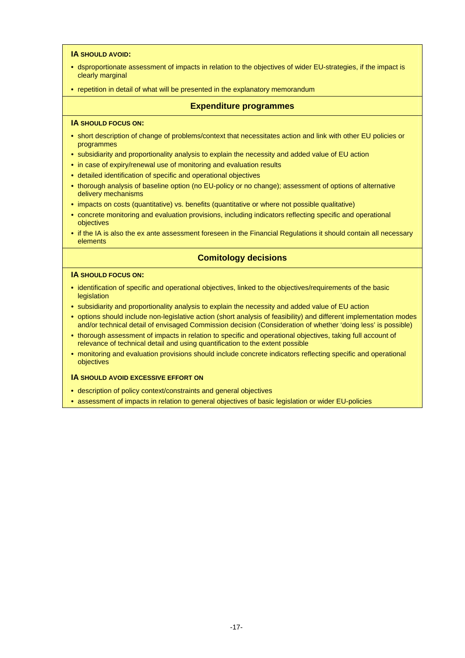#### **IA SHOULD AVOID:**

- dsproportionate assessment of impacts in relation to the objectives of wider EU-strategies, if the impact is clearly marginal
- repetition in detail of what will be presented in the explanatory memorandum

#### **Expenditure programmes**

#### **IA SHOULD FOCUS ON:**

- short description of change of problems/context that necessitates action and link with other EU policies or programmes
- subsidiarity and proportionality analysis to explain the necessity and added value of EU action
- in case of expiry/renewal use of monitoring and evaluation results
- detailed identification of specific and operational objectives
- thorough analysis of baseline option (no EU-policy or no change); assessment of options of alternative delivery mechanisms
- impacts on costs (quantitative) vs. benefits (quantitative or where not possible qualitative)
- concrete monitoring and evaluation provisions, including indicators reflecting specific and operational objectives
- if the IA is also the ex ante assessment foreseen in the Financial Regulations it should contain all necessary elements

#### **Comitology decisions**

#### **IA SHOULD FOCUS ON:**

- identification of specific and operational objectives, linked to the objectives/requirements of the basic legislation
- subsidiarity and proportionality analysis to explain the necessity and added value of EU action
- options should include non-legislative action (short analysis of feasibility) and different implementation modes and/or technical detail of envisaged Commission decision (Consideration of whether 'doing less' is possible)
- thorough assessment of impacts in relation to specific and operational objectives, taking full account of relevance of technical detail and using quantification to the extent possible
- monitoring and evaluation provisions should include concrete indicators reflecting specific and operational objectives

#### **IA SHOULD AVOID EXCESSIVE EFFORT ON**

- description of policy context/constraints and general objectives
- assessment of impacts in relation to general objectives of basic legislation or wider EU-policies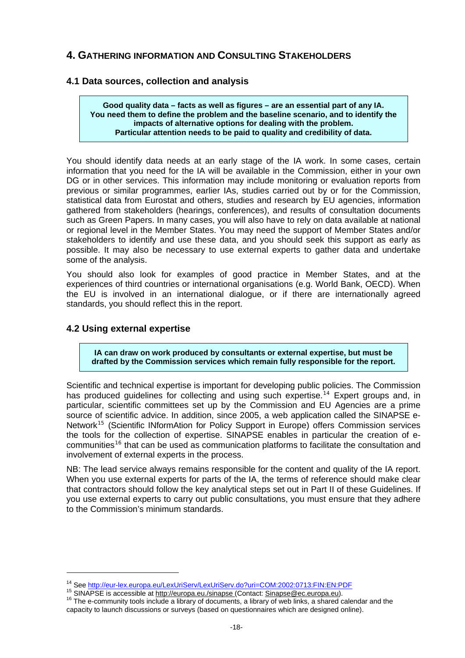# <span id="page-18-0"></span>**4. GATHERING INFORMATION AND CONSULTING STAKEHOLDERS**

#### **4.1 Data sources, collection and analysis**

**Good quality data – facts as well as figures – are an essential part of any IA. You need them to define the problem and the baseline scenario, and to identify the impacts of alternative options for dealing with the problem. Particular attention needs to be paid to quality and credibility of data.** 

You should identify data needs at an early stage of the IA work. In some cases, certain information that you need for the IA will be available in the Commission, either in your own DG or in other services. This information may include monitoring or evaluation reports from previous or similar programmes, earlier IAs, studies carried out by or for the Commission, statistical data from Eurostat and others, studies and research by EU agencies, information gathered from stakeholders (hearings, conferences), and results of consultation documents such as Green Papers. In many cases, you will also have to rely on data available at national or regional level in the Member States. You may need the support of Member States and/or stakeholders to identify and use these data, and you should seek this support as early as possible. It may also be necessary to use external experts to gather data and undertake some of the analysis.

You should also look for examples of good practice in Member States, and at the experiences of third countries or international organisations (e.g. World Bank, OECD). When the EU is involved in an international dialogue, or if there are internationally agreed standards, you should reflect this in the report.

#### **4.2 Using external expertise**

-

**IA can draw on work produced by consultants or external expertise, but must be drafted by the Commission services which remain fully responsible for the report.** 

Scientific and technical expertise is important for developing public policies. The Commission has produced guidelines for collecting and using such expertise.<sup>[14](#page-18-1)</sup> Expert groups and, in particular, scientific committees set up by the Commission and EU Agencies are a prime source of scientific advice. In addition, since 2005, a web application called the SINAPSE e-Network<sup>[15](#page-18-2)</sup> (Scientific INformAtion for Policy Support in Europe) offers Commission services the tools for the collection of expertise. SINAPSE enables in particular the creation of e-communities<sup>[16](#page-18-3)</sup> that can be used as communication platforms to facilitate the consultation and involvement of external experts in the process.

NB: The lead service always remains responsible for the content and quality of the IA report. When you use external experts for parts of the IA, the terms of reference should make clear that contractors should follow the key analytical steps set out in Part II of these Guidelines. If you use external experts to carry out public consultations, you must ensure that they adhere to the Commission's minimum standards.

<span id="page-18-3"></span><span id="page-18-2"></span>

<span id="page-18-1"></span><sup>&</sup>lt;sup>14</sup> See [http://eur-lex.europa.eu/LexUriServ/LexUriServ.do?uri=COM:2002:0713:FIN:EN:PDF](http://eur-lex.europa.eu/LexUriServ/LexUriServ.do?uri=COM:2002:0713:FIN:EN:PDF%20)<br><sup>15</sup> SINAPSE is accessible at <u>http://europa.eu./sinapse (</u>Contact: <u>Sinapse@ec.europa.eu</u>).<br><sup>16</sup> The e-community tools include a libr capacity to launch discussions or surveys (based on questionnaires which are designed online).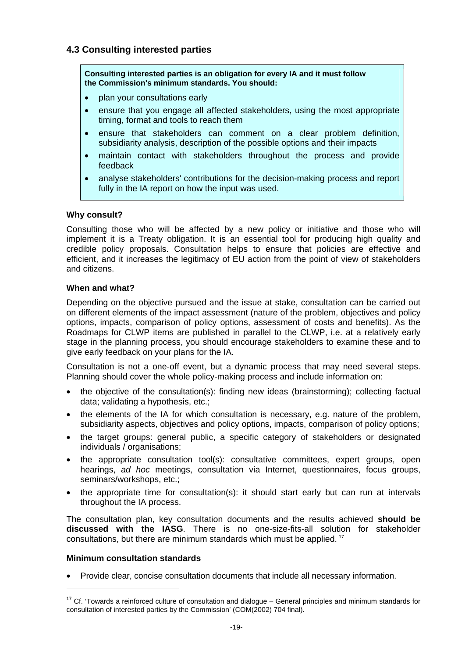# <span id="page-19-0"></span>**4.3 Consulting interested parties**

**Consulting interested parties is an obligation for every IA and it must follow the Commission's minimum standards. You should:** 

- plan your consultations early
- ensure that you engage all affected stakeholders, using the most appropriate timing, format and tools to reach them
- ensure that stakeholders can comment on a clear problem definition, subsidiarity analysis, description of the possible options and their impacts
- maintain contact with stakeholders throughout the process and provide feedback
- analyse stakeholders' contributions for the decision-making process and report fully in the IA report on how the input was used.

#### **Why consult?**

Consulting those who will be affected by a new policy or initiative and those who will implement it is a Treaty obligation. It is an essential tool for producing high quality and credible policy proposals. Consultation helps to ensure that policies are effective and efficient, and it increases the legitimacy of EU action from the point of view of stakeholders and citizens.

#### **When and what?**

Depending on the objective pursued and the issue at stake, consultation can be carried out on different elements of the impact assessment (nature of the problem, objectives and policy options, impacts, comparison of policy options, assessment of costs and benefits). As the Roadmaps for CLWP items are published in parallel to the CLWP, i.e. at a relatively early stage in the planning process, you should encourage stakeholders to examine these and to give early feedback on your plans for the IA.

Consultation is not a one-off event, but a dynamic process that may need several steps. Planning should cover the whole policy-making process and include information on:

- the objective of the consultation(s): finding new ideas (brainstorming); collecting factual data; validating a hypothesis, etc.;
- the elements of the IA for which consultation is necessary, e.g. nature of the problem, subsidiarity aspects, objectives and policy options, impacts, comparison of policy options;
- the target groups: general public, a specific category of stakeholders or designated individuals / organisations;
- the appropriate consultation tool(s): consultative committees, expert groups, open hearings, *ad hoc* meetings, consultation via Internet, questionnaires, focus groups, seminars/workshops, etc.;
- the appropriate time for consultation(s): it should start early but can run at intervals throughout the IA process.

The consultation plan, key consultation documents and the results achieved **should be discussed with the IASG**. There is no one-size-fits-all solution for stakeholder consultations, but there are minimum standards which must be applied. [17](#page-19-1)

#### **Minimum consultation standards**

-

• Provide clear, concise consultation documents that include all necessary information.

<span id="page-19-1"></span> $17$  Cf. 'Towards a reinforced culture of consultation and dialogue – General principles and minimum standards for consultation of interested parties by the Commission' (COM(2002) 704 final).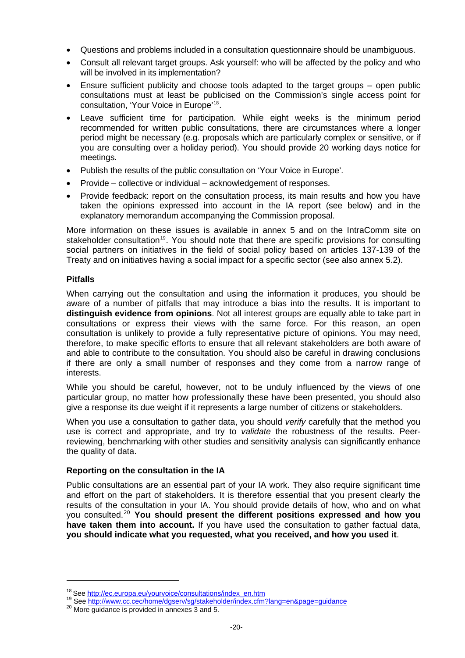- Questions and problems included in a consultation questionnaire should be unambiguous.
- Consult all relevant target groups. Ask yourself: who will be affected by the policy and who will be involved in its implementation?
- Ensure sufficient publicity and choose tools adapted to the target groups open public consultations must at least be publicised on the Commission's single access point for consultation, 'Your Voice in Europe'[18](#page-20-0).
- Leave sufficient time for participation. While eight weeks is the minimum period recommended for written public consultations, there are circumstances where a longer period might be necessary (e.g. proposals which are particularly complex or sensitive, or if you are consulting over a holiday period). You should provide 20 working days notice for meetings.
- Publish the results of the public consultation on 'Your Voice in Europe'.
- Provide collective or individual acknowledgement of responses.
- Provide feedback: report on the consultation process, its main results and how you have taken the opinions expressed into account in the IA report (see below) and in the explanatory memorandum accompanying the Commission proposal.

More information on these issues is available in annex 5 and on the IntraComm site on stakeholder consultation<sup>[19](#page-20-1)</sup>. You should note that there are specific provisions for consulting social partners on initiatives in the field of social policy based on articles 137-139 of the Treaty and on initiatives having a social impact for a specific sector (see also annex 5.2).

#### **Pitfalls**

1

When carrying out the consultation and using the information it produces, you should be aware of a number of pitfalls that may introduce a bias into the results. It is important to **distinguish evidence from opinions**. Not all interest groups are equally able to take part in consultations or express their views with the same force. For this reason, an open consultation is unlikely to provide a fully representative picture of opinions. You may need, therefore, to make specific efforts to ensure that all relevant stakeholders are both aware of and able to contribute to the consultation. You should also be careful in drawing conclusions if there are only a small number of responses and they come from a narrow range of interests.

While you should be careful, however, not to be unduly influenced by the views of one particular group, no matter how professionally these have been presented, you should also give a response its due weight if it represents a large number of citizens or stakeholders.

When you use a consultation to gather data, you should *verify* carefully that the method you use is correct and appropriate, and try to *validate* the robustness of the results. Peerreviewing, benchmarking with other studies and sensitivity analysis can significantly enhance the quality of data.

#### **Reporting on the consultation in the IA**

Public consultations are an essential part of your IA work. They also require significant time and effort on the part of stakeholders. It is therefore essential that you present clearly the results of the consultation in your IA. You should provide details of how, who and on what you consulted.[20](#page-20-2) **You should present the different positions expressed and how you have taken them into account.** If you have used the consultation to gather factual data, **you should indicate what you requested, what you received, and how you used it**.

<span id="page-20-1"></span><span id="page-20-0"></span><sup>&</sup>lt;sup>18</sup> See [http://ec.europa.eu/yourvoice/consultations/index\\_en.htm](http://ec.europa.eu/yourvoice/consultations/index_en.htm)  $^{19}$  See <http://www.cc.cec/home/dgserv/sg/stakeholder/index.cfm?lang=en&page=guidance>  $^{20}$  More guidance is provided in annexes 3 and 5.

<span id="page-20-2"></span>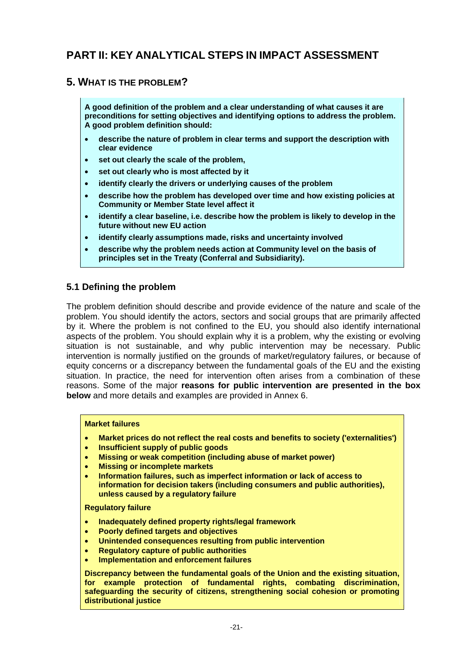# <span id="page-21-0"></span>**PART II: KEY ANALYTICAL STEPS IN IMPACT ASSESSMENT**

# **5. WHAT IS THE PROBLEM?**

**A good definition of the problem and a clear understanding of what causes it are preconditions for setting objectives and identifying options to address the problem. A good problem definition should:**

- **describe the nature of problem in clear terms and support the description with clear evidence**
- **set out clearly the scale of the problem,**
- set out clearly who is most affected by it
- **identify clearly the drivers or underlying causes of the problem**
- **describe how the problem has developed over time and how existing policies at Community or Member State level affect it**
- **identify a clear baseline, i.e. describe how the problem is likely to develop in the future without new EU action**
- **identify clearly assumptions made, risks and uncertainty involved**
- **describe why the problem needs action at Community level on the basis of principles set in the Treaty (Conferral and Subsidiarity).**

#### **5.1 Defining the problem**

The problem definition should describe and provide evidence of the nature and scale of the problem. You should identify the actors, sectors and social groups that are primarily affected by it. Where the problem is not confined to the EU, you should also identify international aspects of the problem. You should explain why it is a problem, why the existing or evolving situation is not sustainable, and why public intervention may be necessary. Public intervention is normally justified on the grounds of market/regulatory failures, or because of equity concerns or a discrepancy between the fundamental goals of the EU and the existing situation. In practice, the need for intervention often arises from a combination of these reasons. Some of the major **reasons for public intervention are presented in the box below** and more details and examples are provided in Annex 6.

#### **Market failures**

- **Market prices do not reflect the real costs and benefits to society ('externalities')**
- **Insufficient supply of public goods**
- **Missing or weak competition (including abuse of market power)**
- **Missing or incomplete markets**
- **Information failures, such as imperfect information or lack of access to information for decision takers (including consumers and public authorities), unless caused by a regulatory failure**

#### **Regulatory failure**

- **Inadequately defined property rights/legal framework**
- **Poorly defined targets and objectives**
- **Unintended consequences resulting from public intervention**
- **Regulatory capture of public authorities**
- **Implementation and enforcement failures**

**Discrepancy between the fundamental goals of the Union and the existing situation, for example protection of fundamental rights, combating discrimination, safeguarding the security of citizens, strengthening social cohesion or promoting distributional justice**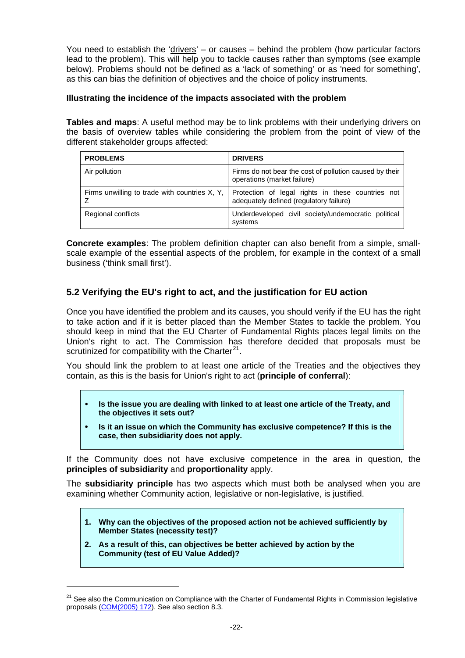<span id="page-22-0"></span>You need to establish the 'drivers' – or causes – behind the problem (how particular factors lead to the problem). This will help you to tackle causes rather than symptoms (see example below). Problems should not be defined as a 'lack of something' or as 'need for something', as this can bias the definition of objectives and the choice of policy instruments.

#### **Illustrating the incidence of the impacts associated with the problem**

**Tables and maps**: A useful method may be to link problems with their underlying drivers on the basis of overview tables while considering the problem from the point of view of the different stakeholder groups affected:

| <b>PROBLEMS</b>                                 | <b>DRIVERS</b>                                                                               |
|-------------------------------------------------|----------------------------------------------------------------------------------------------|
| Air pollution                                   | Firms do not bear the cost of pollution caused by their<br>operations (market failure)       |
| Firms unwilling to trade with countries X, Y, I | Protection of legal rights in these countries not<br>adequately defined (regulatory failure) |
| Regional conflicts                              | Underdeveloped civil society/undemocratic political<br>systems                               |

**Concrete examples**: The problem definition chapter can also benefit from a simple, smallscale example of the essential aspects of the problem, for example in the context of a small business ('think small first').

# **5.2 Verifying the EU's right to act, and the justification for EU action**

Once you have identified the problem and its causes, you should verify if the EU has the right to take action and if it is better placed than the Member States to tackle the problem. You should keep in mind that the EU Charter of Fundamental Rights places legal limits on the Union's right to act. The Commission has therefore decided that proposals must be scrutinized for compatibility with the Charter $21$ .

You should link the problem to at least one article of the Treaties and the objectives they contain, as this is the basis for Union's right to act (**principle of conferral**):

- y **Is the issue you are dealing with linked to at least one article of the Treaty, and the objectives it sets out?**
- y **Is it an issue on which the Community has exclusive competence? If this is the case, then subsidiarity does not apply.**

If the Community does not have exclusive competence in the area in question, the **principles of subsidiarity** and **proportionality** apply.

The **subsidiarity principle** has two aspects which must both be analysed when you are examining whether Community action, legislative or non-legislative, is justified.

- **1. Why can the objectives of the proposed action not be achieved sufficiently by Member States (necessity test)?**
- **2. As a result of this, can objectives be better achieved by action by the Community (test of EU Value Added)?**

1

<span id="page-22-1"></span><sup>&</sup>lt;sup>21</sup> See also the Communication on Compliance with the Charter of Fundamental Rights in Commission legislative proposals ([COM\(2005\) 172](http://eur-lex.europa.eu/LexUriServ/LexUriServ.do?uri=CELEX:52005DC0172:EN:NOT)). See also section 8.3.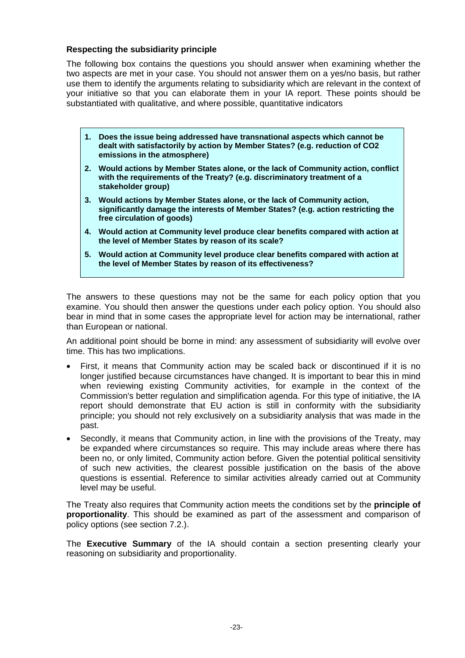#### **Respecting the subsidiarity principle**

The following box contains the questions you should answer when examining whether the two aspects are met in your case. You should not answer them on a yes/no basis, but rather use them to identify the arguments relating to subsidiarity which are relevant in the context of your initiative so that you can elaborate them in your IA report. These points should be substantiated with qualitative, and where possible, quantitative indicators

- **1. Does the issue being addressed have transnational aspects which cannot be dealt with satisfactorily by action by Member States? (e.g. reduction of CO2 emissions in the atmosphere)**
- **2. Would actions by Member States alone, or the lack of Community action, conflict with the requirements of the Treaty? (e.g. discriminatory treatment of a stakeholder group)**
- **3. Would actions by Member States alone, or the lack of Community action, significantly damage the interests of Member States? (e.g. action restricting the free circulation of goods)**
- **4. Would action at Community level produce clear benefits compared with action at the level of Member States by reason of its scale?**
- **5. Would action at Community level produce clear benefits compared with action at the level of Member States by reason of its effectiveness?**

The answers to these questions may not be the same for each policy option that you examine. You should then answer the questions under each policy option. You should also bear in mind that in some cases the appropriate level for action may be international, rather than European or national.

An additional point should be borne in mind: any assessment of subsidiarity will evolve over time. This has two implications.

- First, it means that Community action may be scaled back or discontinued if it is no longer justified because circumstances have changed. It is important to bear this in mind when reviewing existing Community activities, for example in the context of the Commission's better regulation and simplification agenda. For this type of initiative, the IA report should demonstrate that EU action is still in conformity with the subsidiarity principle; you should not rely exclusively on a subsidiarity analysis that was made in the past.
- Secondly, it means that Community action, in line with the provisions of the Treaty, may be expanded where circumstances so require. This may include areas where there has been no, or only limited, Community action before. Given the potential political sensitivity of such new activities, the clearest possible justification on the basis of the above questions is essential. Reference to similar activities already carried out at Community level may be useful.

The Treaty also requires that Community action meets the conditions set by the **principle of proportionality**. This should be examined as part of the assessment and comparison of policy options (see section 7.2.).

The **Executive Summary** of the IA should contain a section presenting clearly your reasoning on subsidiarity and proportionality.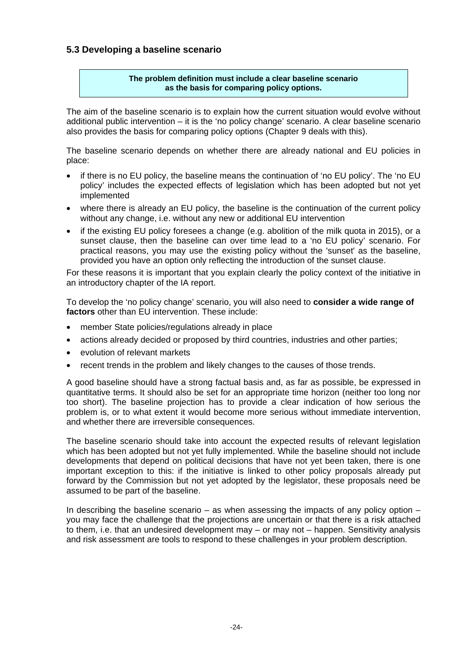# <span id="page-24-0"></span>**5.3 Developing a baseline scenario**

#### **The problem definition must include a clear baseline scenario as the basis for comparing policy options.**

The aim of the baseline scenario is to explain how the current situation would evolve without additional public intervention – it is the 'no policy change' scenario. A clear baseline scenario also provides the basis for comparing policy options (Chapter 9 deals with this).

The baseline scenario depends on whether there are already national and EU policies in place:

- if there is no EU policy, the baseline means the continuation of 'no EU policy'. The 'no EU policy' includes the expected effects of legislation which has been adopted but not yet implemented
- where there is already an EU policy, the baseline is the continuation of the current policy without any change, i.e. without any new or additional EU intervention
- if the existing EU policy foresees a change (e.g. abolition of the milk quota in 2015), or a sunset clause, then the baseline can over time lead to a 'no EU policy' scenario. For practical reasons, you may use the existing policy without the 'sunset' as the baseline, provided you have an option only reflecting the introduction of the sunset clause.

For these reasons it is important that you explain clearly the policy context of the initiative in an introductory chapter of the IA report.

To develop the 'no policy change' scenario, you will also need to **consider a wide range of factors** other than EU intervention. These include:

- member State policies/regulations already in place
- actions already decided or proposed by third countries, industries and other parties;
- evolution of relevant markets
- recent trends in the problem and likely changes to the causes of those trends.

A good baseline should have a strong factual basis and, as far as possible, be expressed in quantitative terms. It should also be set for an appropriate time horizon (neither too long nor too short). The baseline projection has to provide a clear indication of how serious the problem is, or to what extent it would become more serious without immediate intervention, and whether there are irreversible consequences.

The baseline scenario should take into account the expected results of relevant legislation which has been adopted but not yet fully implemented. While the baseline should not include developments that depend on political decisions that have not yet been taken, there is one important exception to this: if the initiative is linked to other policy proposals already put forward by the Commission but not yet adopted by the legislator, these proposals need be assumed to be part of the baseline.

In describing the baseline scenario – as when assessing the impacts of any policy option – you may face the challenge that the projections are uncertain or that there is a risk attached to them, i.e. that an undesired development may – or may not – happen. Sensitivity analysis and risk assessment are tools to respond to these challenges in your problem description.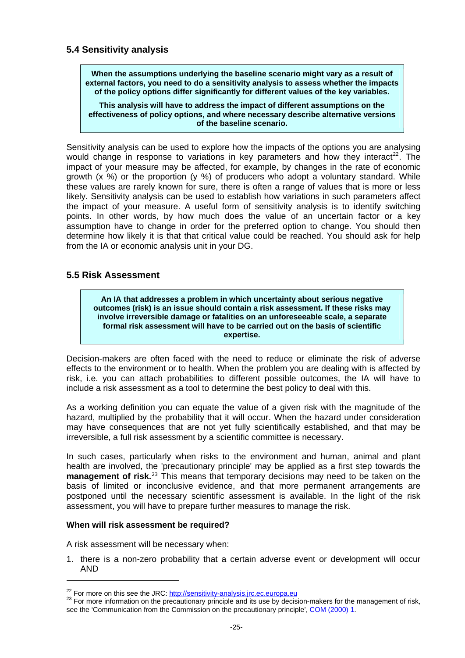# <span id="page-25-0"></span>**5.4 Sensitivity analysis**

**When the assumptions underlying the baseline scenario might vary as a result of external factors, you need to do a sensitivity analysis to assess whether the impacts of the policy options differ significantly for different values of the key variables.** 

**This analysis will have to address the impact of different assumptions on the effectiveness of policy options, and where necessary describe alternative versions of the baseline scenario.**

Sensitivity analysis can be used to explore how the impacts of the options you are analysing would change in response to variations in key parameters and how they interact<sup>[22](#page-25-1)</sup>. The impact of your measure may be affected, for example, by changes in the rate of economic growth  $(x, \%)$  or the proportion  $(y, \%)$  of producers who adopt a voluntary standard. While these values are rarely known for sure, there is often a range of values that is more or less likely. Sensitivity analysis can be used to establish how variations in such parameters affect the impact of your measure. A useful form of sensitivity analysis is to identify switching points. In other words, by how much does the value of an uncertain factor or a key assumption have to change in order for the preferred option to change. You should then determine how likely it is that that critical value could be reached. You should ask for help from the IA or economic analysis unit in your DG.

# **5.5 Risk Assessment**

**An IA that addresses a problem in which uncertainty about serious negative outcomes (risk) is an issue should contain a risk assessment. If these risks may involve irreversible damage or fatalities on an unforeseeable scale, a separate formal risk assessment will have to be carried out on the basis of scientific expertise.** 

Decision-makers are often faced with the need to reduce or eliminate the risk of adverse effects to the environment or to health. When the problem you are dealing with is affected by risk, i.e. you can attach probabilities to different possible outcomes, the IA will have to include a risk assessment as a tool to determine the best policy to deal with this.

As a working definition you can equate the value of a given risk with the magnitude of the hazard, multiplied by the probability that it will occur. When the hazard under consideration may have consequences that are not yet fully scientifically established, and that may be irreversible, a full risk assessment by a scientific committee is necessary.

In such cases, particularly when risks to the environment and human, animal and plant health are involved, the 'precautionary principle' may be applied as a first step towards the **management of risk.**[23](#page-25-2) This means that temporary decisions may need to be taken on the basis of limited or inconclusive evidence, and that more permanent arrangements are postponed until the necessary scientific assessment is available. In the light of the risk assessment, you will have to prepare further measures to manage the risk.

#### **When will risk assessment be required?**

A risk assessment will be necessary when:

1

1. there is a non-zero probability that a certain adverse event or development will occur AND

<span id="page-25-2"></span>

<span id="page-25-1"></span><sup>&</sup>lt;sup>22</sup> For more on this see the JRC: http://sensitivity-analysis.jrc.ec.europa.eu<br><sup>23</sup> For more information on the precautionary principle and its use by decision-makers for the management of risk, see the 'Communication from the Commission on the precautionary principle', [COM \(2000\) 1.](http://eur-lex.europa.eu/LexUriServ/LexUriServ.do?uri=CELEX:52000DC0001:EN:NOT)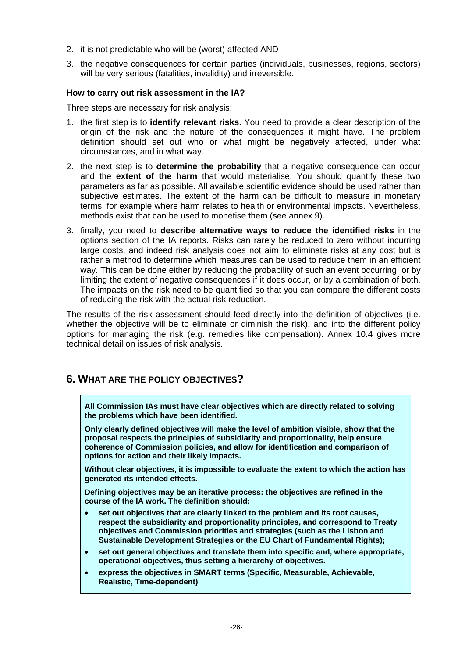- <span id="page-26-0"></span>2. it is not predictable who will be (worst) affected AND
- 3. the negative consequences for certain parties (individuals, businesses, regions, sectors) will be very serious (fatalities, invalidity) and irreversible.

#### **How to carry out risk assessment in the IA?**

Three steps are necessary for risk analysis:

- 1. the first step is to **identify relevant risks**. You need to provide a clear description of the origin of the risk and the nature of the consequences it might have. The problem definition should set out who or what might be negatively affected, under what circumstances, and in what way.
- 2. the next step is to **determine the probability** that a negative consequence can occur and the **extent of the harm** that would materialise. You should quantify these two parameters as far as possible. All available scientific evidence should be used rather than subjective estimates. The extent of the harm can be difficult to measure in monetary terms, for example where harm relates to health or environmental impacts. Nevertheless, methods exist that can be used to monetise them (see annex 9).
- 3. finally, you need to **describe alternative ways to reduce the identified risks** in the options section of the IA reports. Risks can rarely be reduced to zero without incurring large costs, and indeed risk analysis does not aim to eliminate risks at any cost but is rather a method to determine which measures can be used to reduce them in an efficient way. This can be done either by reducing the probability of such an event occurring, or by limiting the extent of negative consequences if it does occur, or by a combination of both. The impacts on the risk need to be quantified so that you can compare the different costs of reducing the risk with the actual risk reduction.

The results of the risk assessment should feed directly into the definition of objectives (i.e. whether the objective will be to eliminate or diminish the risk), and into the different policy options for managing the risk (e.g. remedies like compensation). Annex 10.4 gives more technical detail on issues of risk analysis.

# **6. WHAT ARE THE POLICY OBJECTIVES?**

**All Commission IAs must have clear objectives which are directly related to solving the problems which have been identified.** 

**Only clearly defined objectives will make the level of ambition visible, show that the proposal respects the principles of subsidiarity and proportionality, help ensure coherence of Commission policies, and allow for identification and comparison of options for action and their likely impacts.** 

**Without clear objectives, it is impossible to evaluate the extent to which the action has generated its intended effects.**

**Defining objectives may be an iterative process: the objectives are refined in the course of the IA work. The definition should:** 

- **set out objectives that are clearly linked to the problem and its root causes, respect the subsidiarity and proportionality principles, and correspond to Treaty objectives and Commission priorities and strategies (such as the Lisbon and Sustainable Development Strategies or the EU Chart of Fundamental Rights);**
- **set out general objectives and translate them into specific and, where appropriate, operational objectives, thus setting a hierarchy of objectives.**
- **express the objectives in SMART terms (Specific, Measurable, Achievable, Realistic, Time-dependent)**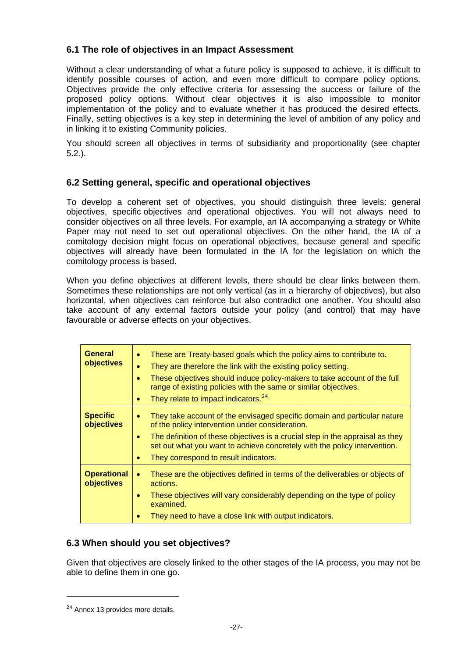# <span id="page-27-0"></span>**6.1 The role of objectives in an Impact Assessment**

Without a clear understanding of what a future policy is supposed to achieve, it is difficult to identify possible courses of action, and even more difficult to compare policy options. Objectives provide the only effective criteria for assessing the success or failure of the proposed policy options. Without clear objectives it is also impossible to monitor implementation of the policy and to evaluate whether it has produced the desired effects. Finally, setting objectives is a key step in determining the level of ambition of any policy and in linking it to existing Community policies.

You should screen all objectives in terms of subsidiarity and proportionality (see chapter 5.2.).

# **6.2 Setting general, specific and operational objectives**

To develop a coherent set of objectives, you should distinguish three levels: general objectives, specific objectives and operational objectives. You will not always need to consider objectives on all three levels. For example, an IA accompanying a strategy or White Paper may not need to set out operational objectives. On the other hand, the IA of a comitology decision might focus on operational objectives, because general and specific objectives will already have been formulated in the IA for the legislation on which the comitology process is based.

When you define objectives at different levels, there should be clear links between them. Sometimes these relationships are not only vertical (as in a hierarchy of objectives), but also horizontal, when objectives can reinforce but also contradict one another. You should also take account of any external factors outside your policy (and control) that may have favourable or adverse effects on your objectives.

| <b>General</b><br>objectives     | These are Treaty-based goals which the policy aims to contribute to.<br>۰<br>They are therefore the link with the existing policy setting.<br>These objectives should induce policy-makers to take account of the full<br>range of existing policies with the same or similar objectives.<br>They relate to impact indicators. <sup>24</sup><br>۰ |
|----------------------------------|---------------------------------------------------------------------------------------------------------------------------------------------------------------------------------------------------------------------------------------------------------------------------------------------------------------------------------------------------|
| <b>Specific</b><br>objectives    | They take account of the envisaged specific domain and particular nature<br>۰<br>of the policy intervention under consideration.<br>The definition of these objectives is a crucial step in the appraisal as they<br>۰<br>set out what you want to achieve concretely with the policy intervention.<br>They correspond to result indicators.      |
| <b>Operational</b><br>objectives | These are the objectives defined in terms of the deliverables or objects of<br>$\bullet$<br>actions.<br>These objectives will vary considerably depending on the type of policy<br>۰<br>examined.<br>They need to have a close link with output indicators.                                                                                       |

# **6.3 When should you set objectives?**

Given that objectives are closely linked to the other stages of the IA process, you may not be able to define them in one go.

-

<span id="page-27-1"></span> $24$  Annex 13 provides more details.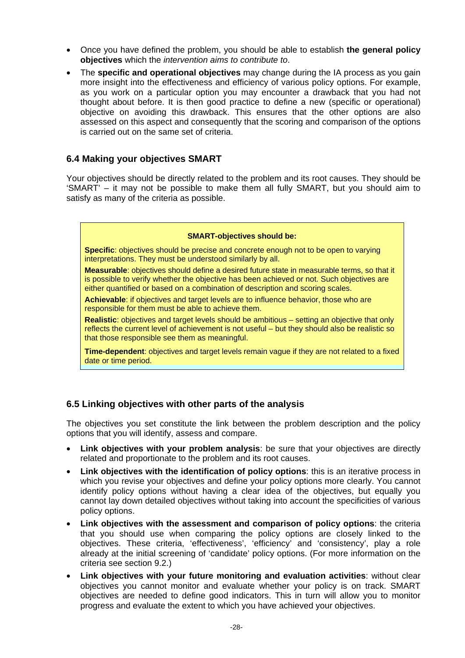- <span id="page-28-0"></span>• Once you have defined the problem, you should be able to establish **the general policy objectives** which the *intervention aims to contribute to*.
- The **specific and operational objectives** may change during the IA process as you gain more insight into the effectiveness and efficiency of various policy options. For example, as you work on a particular option you may encounter a drawback that you had not thought about before. It is then good practice to define a new (specific or operational) objective on avoiding this drawback. This ensures that the other options are also assessed on this aspect and consequently that the scoring and comparison of the options is carried out on the same set of criteria.

### **6.4 Making your objectives SMART**

Your objectives should be directly related to the problem and its root causes. They should be 'SMART' – it may not be possible to make them all fully SMART, but you should aim to satisfy as many of the criteria as possible.

#### **SMART-objectives should be:**

**Specific**: objectives should be precise and concrete enough not to be open to varying interpretations. They must be understood similarly by all.

**Measurable**: objectives should define a desired future state in measurable terms, so that it is possible to verify whether the objective has been achieved or not. Such objectives are either quantified or based on a combination of description and scoring scales.

**Achievable**: if objectives and target levels are to influence behavior, those who are responsible for them must be able to achieve them.

**Realistic**: objectives and target levels should be ambitious – setting an objective that only reflects the current level of achievement is not useful – but they should also be realistic so that those responsible see them as meaningful.

**Time-dependent**: objectives and target levels remain vague if they are not related to a fixed date or time period.

# **6.5 Linking objectives with other parts of the analysis**

The objectives you set constitute the link between the problem description and the policy options that you will identify, assess and compare.

- **Link objectives with your problem analysis**: be sure that your objectives are directly related and proportionate to the problem and its root causes.
- **Link objectives with the identification of policy options**: this is an iterative process in which you revise your objectives and define your policy options more clearly. You cannot identify policy options without having a clear idea of the objectives, but equally you cannot lay down detailed objectives without taking into account the specificities of various policy options.
- **Link objectives with the assessment and comparison of policy options**: the criteria that you should use when comparing the policy options are closely linked to the objectives. These criteria, 'effectiveness', 'efficiency' and 'consistency', play a role already at the initial screening of 'candidate' policy options. (For more information on the criteria see section 9.2.)
- **Link objectives with your future monitoring and evaluation activities**: without clear objectives you cannot monitor and evaluate whether your policy is on track. SMART objectives are needed to define good indicators. This in turn will allow you to monitor progress and evaluate the extent to which you have achieved your objectives.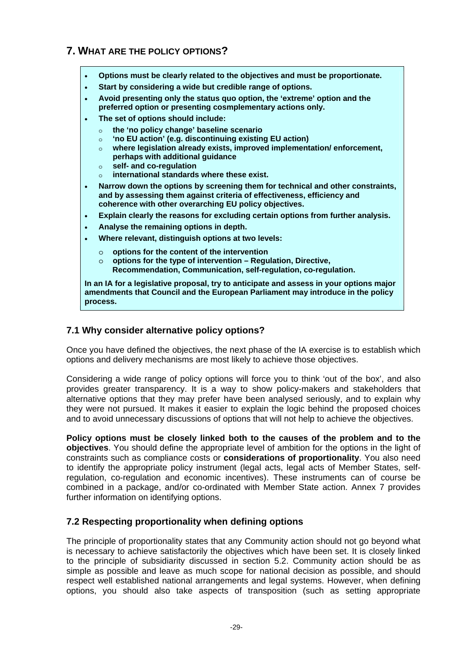# <span id="page-29-0"></span>**7. WHAT ARE THE POLICY OPTIONS?**

- **Options must be clearly related to the objectives and must be proportionate.**
- **Start by considering a wide but credible range of options.**
- **Avoid presenting only the status quo option, the 'extreme' option and the preferred option or presenting cosmplementary actions only.**
- **The set of options should include:** 
	- o **the 'no policy change' baseline scenario**
	- o **'no EU action' (e.g. discontinuing existing EU action)**
	- o **where legislation already exists, improved implementation/ enforcement, perhaps with additional guidance**
	- o **self- and co-regulation**
	- international standards where these exist.
- **Narrow down the options by screening them for technical and other constraints, and by assessing them against criteria of effectiveness, efficiency and coherence with other overarching EU policy objectives.**
- **Explain clearly the reasons for excluding certain options from further analysis.**
- **Analyse the remaining options in depth.**
- **Where relevant, distinguish options at two levels:** 
	- o **options for the content of the intervention**
	- o **options for the type of intervention Regulation, Directive, Recommendation, Communication, self-regulation, co-regulation.**

**In an IA for a legislative proposal, try to anticipate and assess in your options major amendments that Council and the European Parliament may introduce in the policy process.** 

# **7.1 Why consider alternative policy options?**

Once you have defined the objectives, the next phase of the IA exercise is to establish which options and delivery mechanisms are most likely to achieve those objectives.

Considering a wide range of policy options will force you to think 'out of the box', and also provides greater transparency. It is a way to show policy-makers and stakeholders that alternative options that they may prefer have been analysed seriously, and to explain why they were not pursued. It makes it easier to explain the logic behind the proposed choices and to avoid unnecessary discussions of options that will not help to achieve the objectives.

**Policy options must be closely linked both to the causes of the problem and to the objectives**. You should define the appropriate level of ambition for the options in the light of constraints such as compliance costs or **considerations of proportionality**. You also need to identify the appropriate policy instrument (legal acts, legal acts of Member States, selfregulation, co-regulation and economic incentives). These instruments can of course be combined in a package, and/or co-ordinated with Member State action. Annex 7 provides further information on identifying options.

# **7.2 Respecting proportionality when defining options**

The principle of proportionality states that any Community action should not go beyond what is necessary to achieve satisfactorily the objectives which have been set. It is closely linked to the principle of subsidiarity discussed in section 5.2. Community action should be as simple as possible and leave as much scope for national decision as possible, and should respect well established national arrangements and legal systems. However, when defining options, you should also take aspects of transposition (such as setting appropriate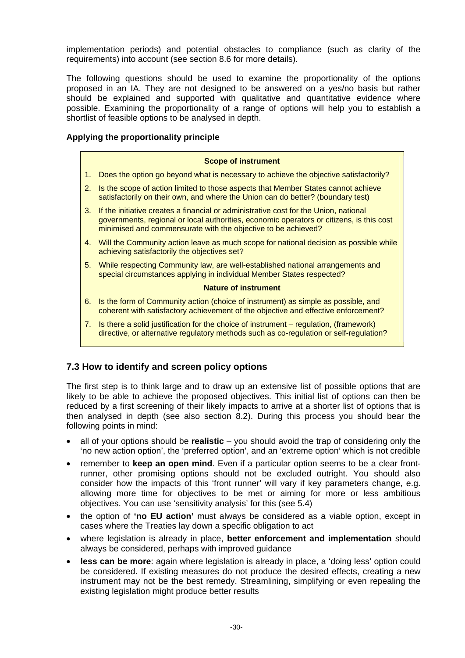<span id="page-30-0"></span>implementation periods) and potential obstacles to compliance (such as clarity of the requirements) into account (see section 8.6 for more details).

The following questions should be used to examine the proportionality of the options proposed in an IA. They are not designed to be answered on a yes/no basis but rather should be explained and supported with qualitative and quantitative evidence where possible. Examining the proportionality of a range of options will help you to establish a shortlist of feasible options to be analysed in depth.

#### **Applying the proportionality principle**

#### **Scope of instrument**

- 1. Does the option go beyond what is necessary to achieve the objective satisfactorily?
- 2. Is the scope of action limited to those aspects that Member States cannot achieve satisfactorily on their own, and where the Union can do better? (boundary test)
- 3. If the initiative creates a financial or administrative cost for the Union, national governments, regional or local authorities, economic operators or citizens, is this cost minimised and commensurate with the objective to be achieved?
- 4. Will the Community action leave as much scope for national decision as possible while achieving satisfactorily the objectives set?
- 5. While respecting Community law, are well-established national arrangements and special circumstances applying in individual Member States respected?

#### **Nature of instrument**

- 6. Is the form of Community action (choice of instrument) as simple as possible, and coherent with satisfactory achievement of the objective and effective enforcement?
- 7. Is there a solid justification for the choice of instrument regulation, (framework) directive, or alternative regulatory methods such as co-regulation or self-regulation?

# **7.3 How to identify and screen policy options**

The first step is to think large and to draw up an extensive list of possible options that are likely to be able to achieve the proposed objectives. This initial list of options can then be reduced by a first screening of their likely impacts to arrive at a shorter list of options that is then analysed in depth (see also section 8.2). During this process you should bear the following points in mind:

- all of your options should be **realistic** you should avoid the trap of considering only the 'no new action option', the 'preferred option', and an 'extreme option' which is not credible
- remember to **keep an open mind**. Even if a particular option seems to be a clear frontrunner, other promising options should not be excluded outright. You should also consider how the impacts of this 'front runner' will vary if key parameters change, e.g. allowing more time for objectives to be met or aiming for more or less ambitious objectives. You can use 'sensitivity analysis' for this (see 5.4)
- the option of **'no EU action'** must always be considered as a viable option, except in cases where the Treaties lay down a specific obligation to act
- where legislation is already in place, **better enforcement and implementation** should always be considered, perhaps with improved guidance
- **less can be more**: again where legislation is already in place, a 'doing less' option could be considered. If existing measures do not produce the desired effects, creating a new instrument may not be the best remedy. Streamlining, simplifying or even repealing the existing legislation might produce better results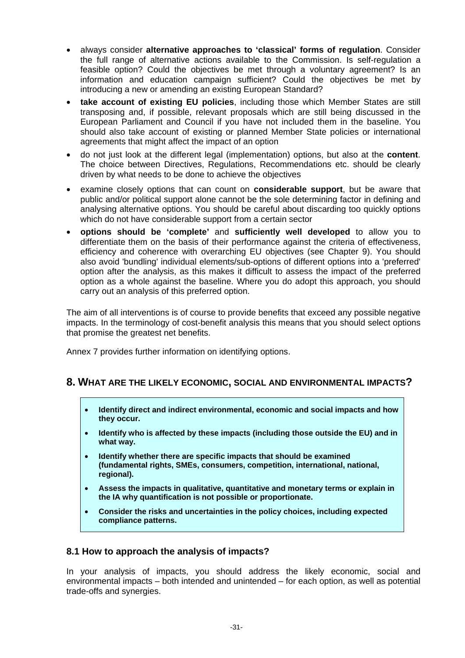- <span id="page-31-0"></span>• always consider **alternative approaches to 'classical' forms of regulation**. Consider the full range of alternative actions available to the Commission. Is self-regulation a feasible option? Could the objectives be met through a voluntary agreement? Is an information and education campaign sufficient? Could the objectives be met by introducing a new or amending an existing European Standard?
- **take account of existing EU policies**, including those which Member States are still transposing and, if possible, relevant proposals which are still being discussed in the European Parliament and Council if you have not included them in the baseline. You should also take account of existing or planned Member State policies or international agreements that might affect the impact of an option
- do not just look at the different legal (implementation) options, but also at the **content**. The choice between Directives, Regulations, Recommendations etc. should be clearly driven by what needs to be done to achieve the objectives
- examine closely options that can count on **considerable support**, but be aware that public and/or political support alone cannot be the sole determining factor in defining and analysing alternative options. You should be careful about discarding too quickly options which do not have considerable support from a certain sector
- **options should be 'complete'** and **sufficiently well developed** to allow you to differentiate them on the basis of their performance against the criteria of effectiveness, efficiency and coherence with overarching EU objectives (see Chapter 9). You should also avoid 'bundling' individual elements/sub-options of different options into a 'preferred' option after the analysis, as this makes it difficult to assess the impact of the preferred option as a whole against the baseline. Where you do adopt this approach, you should carry out an analysis of this preferred option.

The aim of all interventions is of course to provide benefits that exceed any possible negative impacts. In the terminology of cost-benefit analysis this means that you should select options that promise the greatest net benefits.

Annex 7 provides further information on identifying options.

# **8. WHAT ARE THE LIKELY ECONOMIC, SOCIAL AND ENVIRONMENTAL IMPACTS?**

- **Identify direct and indirect environmental, economic and social impacts and how they occur.**
- **Identify who is affected by these impacts (including those outside the EU) and in what way.**
- **Identify whether there are specific impacts that should be examined (fundamental rights, SMEs, consumers, competition, international, national, regional).**
- **Assess the impacts in qualitative, quantitative and monetary terms or explain in the IA why quantification is not possible or proportionate.**
- **Consider the risks and uncertainties in the policy choices, including expected compliance patterns.**

# **8.1 How to approach the analysis of impacts?**

In your analysis of impacts, you should address the likely economic, social and environmental impacts – both intended and unintended – for each option, as well as potential trade-offs and synergies.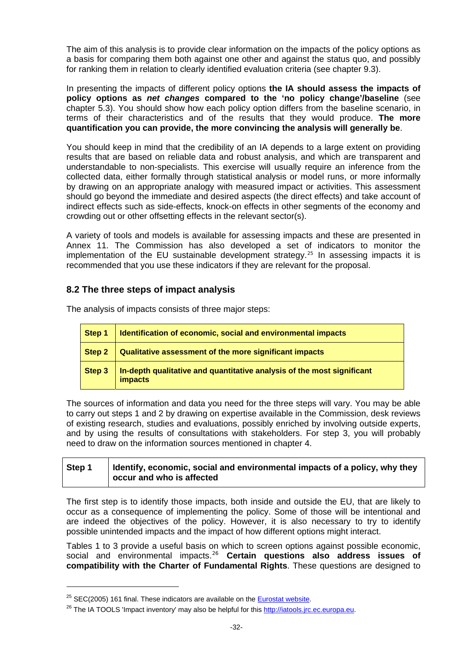<span id="page-32-0"></span>The aim of this analysis is to provide clear information on the impacts of the policy options as a basis for comparing them both against one other and against the status quo, and possibly for ranking them in relation to clearly identified evaluation criteria (see chapter 9.3).

In presenting the impacts of different policy options **the IA should assess the impacts of policy options as** *net changes* **compared to the 'no policy change'/baseline** (see chapter 5.3). You should show how each policy option differs from the baseline scenario, in terms of their characteristics and of the results that they would produce. **The more quantification you can provide, the more convincing the analysis will generally be**.

You should keep in mind that the credibility of an IA depends to a large extent on providing results that are based on reliable data and robust analysis, and which are transparent and understandable to non-specialists. This exercise will usually require an inference from the collected data, either formally through statistical analysis or model runs, or more informally by drawing on an appropriate analogy with measured impact or activities. This assessment should go beyond the immediate and desired aspects (the direct effects) and take account of indirect effects such as side-effects, knock-on effects in other segments of the economy and crowding out or other offsetting effects in the relevant sector(s).

A variety of tools and models is available for assessing impacts and these are presented in Annex 11. The Commission has also developed a set of indicators to monitor the implementation of the EU sustainable development strategy.<sup>[25](#page-32-1)</sup> In assessing impacts it is recommended that you use these indicators if they are relevant for the proposal.

# **8.2 The three steps of impact analysis**

The analysis of impacts consists of three major steps:

| Step 1 | Identification of economic, social and environmental impacts                             |
|--------|------------------------------------------------------------------------------------------|
| Step 2 | Qualitative assessment of the more significant impacts                                   |
| Step 3 | In-depth qualitative and quantitative analysis of the most significant<br><i>impacts</i> |

The sources of information and data you need for the three steps will vary. You may be able to carry out steps 1 and 2 by drawing on expertise available in the Commission, desk reviews of existing research, studies and evaluations, possibly enriched by involving outside experts, and by using the results of consultations with stakeholders. For step 3, you will probably need to draw on the information sources mentioned in chapter 4.

# **Step 1 Identify, economic, social and environmental impacts of a policy, why they occur and who is affected**

The first step is to identify those impacts, both inside and outside the EU, that are likely to occur as a consequence of implementing the policy. Some of those will be intentional and are indeed the objectives of the policy. However, it is also necessary to try to identify possible unintended impacts and the impact of how different options might interact.

Tables 1 to 3 provide a useful basis on which to screen options against possible economic, social and environmental impacts.[26](#page-32-2) **Certain questions also address issues of compatibility with the Charter of Fundamental Rights**. These questions are designed to

1

<span id="page-32-2"></span><span id="page-32-1"></span><sup>&</sup>lt;sup>25</sup> SEC(2005) 161 final. These indicators are available on the **[Eurostat website](http://epp.eurostat.ec.europa.eu/portal/page/portal/product_details/publication?p_product_code=2009-S-71-102334).**<br><sup>26</sup> The IA TOOLS 'Impact inventory' may also be helpful for this [http://iatools.jrc.ec.europa.eu](http://iatools.jrc.ec.europa.eu/).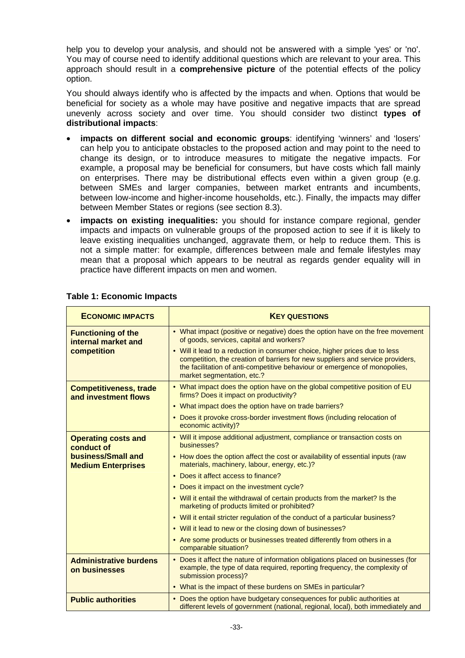help you to develop your analysis, and should not be answered with a simple 'yes' or 'no'. You may of course need to identify additional questions which are relevant to your area. This approach should result in a **comprehensive picture** of the potential effects of the policy option.

You should always identify who is affected by the impacts and when. Options that would be beneficial for society as a whole may have positive and negative impacts that are spread unevenly across society and over time. You should consider two distinct **types of distributional impacts**:

- **impacts on different social and economic groups**: identifying 'winners' and 'losers' can help you to anticipate obstacles to the proposed action and may point to the need to change its design, or to introduce measures to mitigate the negative impacts. For example, a proposal may be beneficial for consumers, but have costs which fall mainly on enterprises. There may be distributional effects even within a given group (e.g. between SMEs and larger companies, between market entrants and incumbents, between low-income and higher-income households, etc.). Finally, the impacts may differ between Member States or regions (see section 8.3).
- **impacts on existing inequalities:** you should for instance compare regional, gender impacts and impacts on vulnerable groups of the proposed action to see if it is likely to leave existing inequalities unchanged, aggravate them, or help to reduce them. This is not a simple matter: for example, differences between male and female lifestyles may mean that a proposal which appears to be neutral as regards gender equality will in practice have different impacts on men and women.

| <b>ECONOMIC IMPACTS</b>                               | <b>KEY QUESTIONS</b>                                                                                                                                                                                                                                                      |
|-------------------------------------------------------|---------------------------------------------------------------------------------------------------------------------------------------------------------------------------------------------------------------------------------------------------------------------------|
| <b>Functioning of the</b><br>internal market and      | • What impact (positive or negative) does the option have on the free movement<br>of goods, services, capital and workers?                                                                                                                                                |
| competition                                           | • Will it lead to a reduction in consumer choice, higher prices due to less<br>competition, the creation of barriers for new suppliers and service providers,<br>the facilitation of anti-competitive behaviour or emergence of monopolies,<br>market segmentation, etc.? |
| <b>Competitiveness, trade</b><br>and investment flows | • What impact does the option have on the global competitive position of EU<br>firms? Does it impact on productivity?                                                                                                                                                     |
|                                                       | • What impact does the option have on trade barriers?                                                                                                                                                                                                                     |
|                                                       | • Does it provoke cross-border investment flows (including relocation of<br>economic activity)?                                                                                                                                                                           |
| <b>Operating costs and</b><br>conduct of              | • Will it impose additional adjustment, compliance or transaction costs on<br>businesses?                                                                                                                                                                                 |
| business/Small and<br><b>Medium Enterprises</b>       | • How does the option affect the cost or availability of essential inputs (raw<br>materials, machinery, labour, energy, etc.)?                                                                                                                                            |
|                                                       | • Does it affect access to finance?                                                                                                                                                                                                                                       |
|                                                       | • Does it impact on the investment cycle?                                                                                                                                                                                                                                 |
|                                                       | • Will it entail the withdrawal of certain products from the market? Is the<br>marketing of products limited or prohibited?                                                                                                                                               |
|                                                       | • Will it entail stricter regulation of the conduct of a particular business?                                                                                                                                                                                             |
|                                                       | • Will it lead to new or the closing down of businesses?                                                                                                                                                                                                                  |
|                                                       | • Are some products or businesses treated differently from others in a<br>comparable situation?                                                                                                                                                                           |
| <b>Administrative burdens</b><br>on businesses        | • Does it affect the nature of information obligations placed on businesses (for<br>example, the type of data required, reporting frequency, the complexity of<br>submission process)?                                                                                    |
|                                                       | • What is the impact of these burdens on SMEs in particular?                                                                                                                                                                                                              |
| <b>Public authorities</b>                             | • Does the option have budgetary consequences for public authorities at<br>different levels of government (national, regional, local), both immediately and                                                                                                               |

#### **Table 1: Economic Impacts**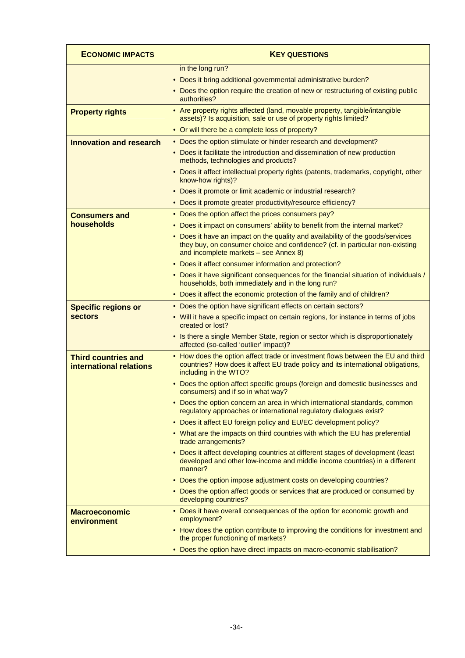| <b>ECONOMIC IMPACTS</b>                               | <b>KEY QUESTIONS</b>                                                                                                                                                                                    |
|-------------------------------------------------------|---------------------------------------------------------------------------------------------------------------------------------------------------------------------------------------------------------|
|                                                       | in the long run?<br>• Does it bring additional governmental administrative burden?                                                                                                                      |
|                                                       | • Does the option require the creation of new or restructuring of existing public<br>authorities?                                                                                                       |
| <b>Property rights</b>                                | • Are property rights affected (land, movable property, tangible/intangible<br>assets)? Is acquisition, sale or use of property rights limited?                                                         |
|                                                       | • Or will there be a complete loss of property?                                                                                                                                                         |
| <b>Innovation and research</b>                        | • Does the option stimulate or hinder research and development?                                                                                                                                         |
|                                                       | • Does it facilitate the introduction and dissemination of new production<br>methods, technologies and products?                                                                                        |
|                                                       | • Does it affect intellectual property rights (patents, trademarks, copyright, other<br>know-how rights)?                                                                                               |
|                                                       | • Does it promote or limit academic or industrial research?                                                                                                                                             |
|                                                       | • Does it promote greater productivity/resource efficiency?                                                                                                                                             |
| <b>Consumers and</b>                                  | • Does the option affect the prices consumers pay?                                                                                                                                                      |
| households                                            | • Does it impact on consumers' ability to benefit from the internal market?                                                                                                                             |
|                                                       | • Does it have an impact on the quality and availability of the goods/services<br>they buy, on consumer choice and confidence? (cf. in particular non-existing<br>and incomplete markets - see Annex 8) |
|                                                       | • Does it affect consumer information and protection?                                                                                                                                                   |
|                                                       | • Does it have significant consequences for the financial situation of individuals /<br>households, both immediately and in the long run?                                                               |
|                                                       | • Does it affect the economic protection of the family and of children?                                                                                                                                 |
| <b>Specific regions or</b>                            | • Does the option have significant effects on certain sectors?                                                                                                                                          |
| <b>sectors</b>                                        | • Will it have a specific impact on certain regions, for instance in terms of jobs<br>created or lost?                                                                                                  |
|                                                       | • Is there a single Member State, region or sector which is disproportionately<br>affected (so-called 'outlier' impact)?                                                                                |
| <b>Third countries and</b><br>international relations | • How does the option affect trade or investment flows between the EU and third<br>countries? How does it affect EU trade policy and its international obligations,<br>including in the WTO?            |
|                                                       | • Does the option affect specific groups (foreign and domestic businesses and<br>consumers) and if so in what way?                                                                                      |
|                                                       | • Does the option concern an area in which international standards, common<br>regulatory approaches or international regulatory dialogues exist?                                                        |
|                                                       | • Does it affect EU foreign policy and EU/EC development policy?                                                                                                                                        |
|                                                       | • What are the impacts on third countries with which the EU has preferential<br>trade arrangements?                                                                                                     |
|                                                       | • Does it affect developing countries at different stages of development (least<br>developed and other low-income and middle income countries) in a different<br>manner?                                |
|                                                       | • Does the option impose adjustment costs on developing countries?                                                                                                                                      |
|                                                       | • Does the option affect goods or services that are produced or consumed by<br>developing countries?                                                                                                    |
| <b>Macroeconomic</b><br>environment                   | • Does it have overall consequences of the option for economic growth and<br>employment?                                                                                                                |
|                                                       | • How does the option contribute to improving the conditions for investment and<br>the proper functioning of markets?                                                                                   |
|                                                       | • Does the option have direct impacts on macro-economic stabilisation?                                                                                                                                  |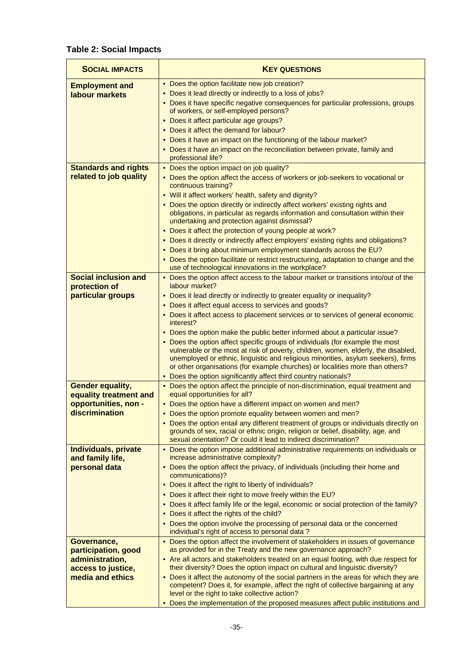# **Table 2: Social Impacts**

| <b>SOCIAL IMPACTS</b>                             | <b>KEY QUESTIONS</b>                                                                                                                                                                                                                                                                                                                      |
|---------------------------------------------------|-------------------------------------------------------------------------------------------------------------------------------------------------------------------------------------------------------------------------------------------------------------------------------------------------------------------------------------------|
| <b>Employment and</b>                             | • Does the option facilitate new job creation?                                                                                                                                                                                                                                                                                            |
| labour markets                                    | • Does it lead directly or indirectly to a loss of jobs?                                                                                                                                                                                                                                                                                  |
|                                                   | • Does it have specific negative consequences for particular professions, groups<br>of workers, or self-employed persons?                                                                                                                                                                                                                 |
|                                                   | • Does it affect particular age groups?                                                                                                                                                                                                                                                                                                   |
|                                                   | • Does it affect the demand for labour?                                                                                                                                                                                                                                                                                                   |
|                                                   | • Does it have an impact on the functioning of the labour market?                                                                                                                                                                                                                                                                         |
|                                                   | • Does it have an impact on the reconciliation between private, family and                                                                                                                                                                                                                                                                |
|                                                   | professional life?                                                                                                                                                                                                                                                                                                                        |
| <b>Standards and rights</b>                       | • Does the option impact on job quality?                                                                                                                                                                                                                                                                                                  |
| related to job quality                            | • Does the option affect the access of workers or job-seekers to vocational or<br>continuous training?                                                                                                                                                                                                                                    |
|                                                   | • Will it affect workers' health, safety and dignity?                                                                                                                                                                                                                                                                                     |
|                                                   | • Does the option directly or indirectly affect workers' existing rights and<br>obligations, in particular as regards information and consultation within their<br>undertaking and protection against dismissal?                                                                                                                          |
|                                                   | • Does it affect the protection of young people at work?                                                                                                                                                                                                                                                                                  |
|                                                   | • Does it directly or indirectly affect employers' existing rights and obligations?                                                                                                                                                                                                                                                       |
|                                                   | • Does it bring about minimum employment standards across the EU?                                                                                                                                                                                                                                                                         |
|                                                   | • Does the option facilitate or restrict restructuring, adaptation to change and the<br>use of technological innovations in the workplace?                                                                                                                                                                                                |
| <b>Social inclusion and</b><br>protection of      | • Does the option affect access to the labour market or transitions into/out of the<br>labour market?                                                                                                                                                                                                                                     |
| particular groups                                 | • Does it lead directly or indirectly to greater equality or inequality?                                                                                                                                                                                                                                                                  |
|                                                   | • Does it affect equal access to services and goods?                                                                                                                                                                                                                                                                                      |
|                                                   | • Does it affect access to placement services or to services of general economic<br>interest?                                                                                                                                                                                                                                             |
|                                                   | • Does the option make the public better informed about a particular issue?                                                                                                                                                                                                                                                               |
|                                                   | • Does the option affect specific groups of individuals (for example the most<br>vulnerable or the most at risk of poverty, children, women, elderly, the disabled,<br>unemployed or ethnic, linguistic and religious minorities, asylum seekers), firms<br>or other organisations (for example churches) or localities more than others? |
|                                                   | • Does the option significantly affect third country nationals?                                                                                                                                                                                                                                                                           |
| <b>Gender equality,</b><br>equality treatment and | • Does the option affect the principle of non-discrimination, equal treatment and<br>equal opportunities for all?                                                                                                                                                                                                                         |
| opportunities, non -                              | • Does the option have a different impact on women and men?                                                                                                                                                                                                                                                                               |
| <u>discrimination</u>                             | • Does the option promote equality between women and men?                                                                                                                                                                                                                                                                                 |
|                                                   | • Does the option entail any different treatment of groups or individuals directly on<br>grounds of sex, racial or ethnic origin, religion or belief, disability, age, and<br>sexual orientation? Or could it lead to indirect discrimination?                                                                                            |
| Individuals, private<br>and family life,          | • Does the option impose additional administrative requirements on individuals or<br>increase administrative complexity?                                                                                                                                                                                                                  |
| personal data                                     | • Does the option affect the privacy, of individuals (including their home and<br>communications)?                                                                                                                                                                                                                                        |
|                                                   | • Does it affect the right to liberty of individuals?                                                                                                                                                                                                                                                                                     |
|                                                   | • Does it affect their right to move freely within the EU?                                                                                                                                                                                                                                                                                |
|                                                   | • Does it affect family life or the legal, economic or social protection of the family?                                                                                                                                                                                                                                                   |
|                                                   | • Does it affect the rights of the child?                                                                                                                                                                                                                                                                                                 |
|                                                   | • Does the option involve the processing of personal data or the concerned<br>individual's right of access to personal data?                                                                                                                                                                                                              |
| Governance,                                       | • Does the option affect the involvement of stakeholders in issues of governance                                                                                                                                                                                                                                                          |
| participation, good                               | as provided for in the Treaty and the new governance approach?                                                                                                                                                                                                                                                                            |
| administration,                                   | • Are all actors and stakeholders treated on an equal footing, with due respect for<br>their diversity? Does the option impact on cultural and linguistic diversity?                                                                                                                                                                      |
| access to justice,<br>media and ethics            | • Does it affect the autonomy of the social partners in the areas for which they are<br>competent? Does it, for example, affect the right of collective bargaining at any                                                                                                                                                                 |
|                                                   | level or the right to take collective action?                                                                                                                                                                                                                                                                                             |
|                                                   | Does the implementation of the proposed measures affect public institutions and                                                                                                                                                                                                                                                           |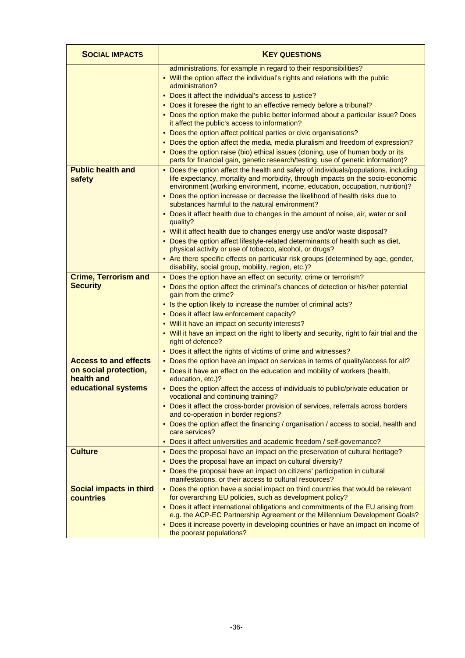| <b>SOCIAL IMPACTS</b>                                 | <b>KEY QUESTIONS</b>                                                                                                                                                                                                                                    |
|-------------------------------------------------------|---------------------------------------------------------------------------------------------------------------------------------------------------------------------------------------------------------------------------------------------------------|
|                                                       | administrations, for example in regard to their responsibilities?<br>• Will the option affect the individual's rights and relations with the public<br>administration?                                                                                  |
|                                                       | • Does it affect the individual's access to justice?                                                                                                                                                                                                    |
|                                                       | • Does it foresee the right to an effective remedy before a tribunal?                                                                                                                                                                                   |
|                                                       | • Does the option make the public better informed about a particular issue? Does<br>it affect the public's access to information?                                                                                                                       |
|                                                       | • Does the option affect political parties or civic organisations?                                                                                                                                                                                      |
|                                                       | • Does the option affect the media, media pluralism and freedom of expression?                                                                                                                                                                          |
|                                                       | • Does the option raise (bio) ethical issues (cloning, use of human body or its<br>parts for financial gain, genetic research/testing, use of genetic information)?                                                                                     |
| <b>Public health and</b><br>safety                    | • Does the option affect the health and safety of individuals/populations, including<br>life expectancy, mortality and morbidity, through impacts on the socio-economic<br>environment (working environment, income, education, occupation, nutrition)? |
|                                                       | • Does the option increase or decrease the likelihood of health risks due to<br>substances harmful to the natural environment?                                                                                                                          |
|                                                       | • Does it affect health due to changes in the amount of noise, air, water or soil<br>quality?                                                                                                                                                           |
|                                                       | • Will it affect health due to changes energy use and/or waste disposal?                                                                                                                                                                                |
|                                                       | • Does the option affect lifestyle-related determinants of health such as diet,<br>physical activity or use of tobacco, alcohol, or drugs?                                                                                                              |
|                                                       | • Are there specific effects on particular risk groups (determined by age, gender,<br>disability, social group, mobility, region, etc.)?                                                                                                                |
| <b>Crime, Terrorism and</b>                           | • Does the option have an effect on security, crime or terrorism?                                                                                                                                                                                       |
| <b>Security</b>                                       | • Does the option affect the criminal's chances of detection or his/her potential<br>gain from the crime?                                                                                                                                               |
|                                                       | • Is the option likely to increase the number of criminal acts?                                                                                                                                                                                         |
|                                                       | • Does it affect law enforcement capacity?                                                                                                                                                                                                              |
|                                                       | • Will it have an impact on security interests?                                                                                                                                                                                                         |
|                                                       | . Will it have an impact on the right to liberty and security, right to fair trial and the<br>right of defence?                                                                                                                                         |
|                                                       | • Does it affect the rights of victims of crime and witnesses?                                                                                                                                                                                          |
| <b>Access to and effects</b><br>on social protection, | • Does the option have an impact on services in terms of quality/access for all?                                                                                                                                                                        |
| health and                                            | • Does it have an effect on the education and mobility of workers (health,<br>education, etc.)?                                                                                                                                                         |
| educational systems                                   | • Does the option affect the access of individuals to public/private education or<br>vocational and continuing training?                                                                                                                                |
|                                                       | • Does it affect the cross-border provision of services, referrals across borders<br>and co-operation in border regions?                                                                                                                                |
|                                                       | • Does the option affect the financing / organisation / access to social, health and<br>care services?                                                                                                                                                  |
|                                                       | • Does it affect universities and academic freedom / self-governance?                                                                                                                                                                                   |
| <b>Culture</b>                                        | • Does the proposal have an impact on the preservation of cultural heritage?                                                                                                                                                                            |
|                                                       | • Does the proposal have an impact on cultural diversity?                                                                                                                                                                                               |
|                                                       | • Does the proposal have an impact on citizens' participation in cultural<br>manifestations, or their access to cultural resources?                                                                                                                     |
| <b>Social impacts in third</b><br>countries           | • Does the option have a social impact on third countries that would be relevant<br>for overarching EU policies, such as development policy?                                                                                                            |
|                                                       | • Does it affect international obligations and commitments of the EU arising from<br>e.g. the ACP-EC Partnership Agreement or the Millennium Development Goals?                                                                                         |
|                                                       | • Does it increase poverty in developing countries or have an impact on income of<br>the poorest populations?                                                                                                                                           |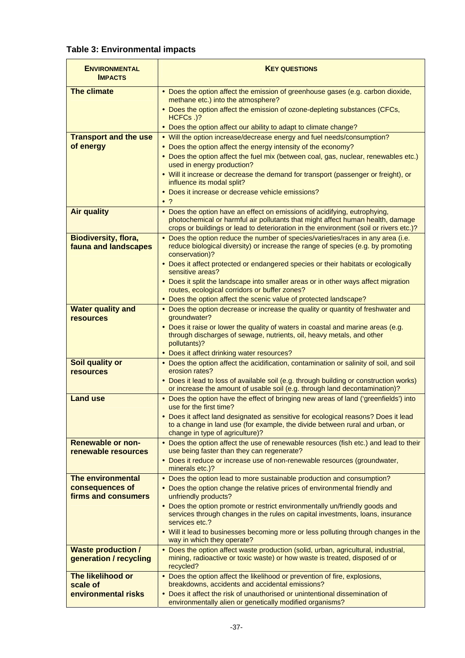# **Table 3: Environmental impacts**

| <b>ENVIRONMENTAL</b><br><b>IMPACTS</b>              | <b>KEY QUESTIONS</b>                                                                                                                                                                                                                                 |  |
|-----------------------------------------------------|------------------------------------------------------------------------------------------------------------------------------------------------------------------------------------------------------------------------------------------------------|--|
| <b>The climate</b>                                  | • Does the option affect the emission of greenhouse gases (e.g. carbon dioxide,<br>methane etc.) into the atmosphere?<br>• Does the option affect the emission of ozone-depleting substances (CFCs,<br>HCFCs.)?                                      |  |
|                                                     | • Does the option affect our ability to adapt to climate change?                                                                                                                                                                                     |  |
| <b>Transport and the use</b>                        | • Will the option increase/decrease energy and fuel needs/consumption?                                                                                                                                                                               |  |
| of energy                                           | • Does the option affect the energy intensity of the economy?                                                                                                                                                                                        |  |
|                                                     | • Does the option affect the fuel mix (between coal, gas, nuclear, renewables etc.)<br>used in energy production?                                                                                                                                    |  |
|                                                     | • Will it increase or decrease the demand for transport (passenger or freight), or<br>influence its modal split?                                                                                                                                     |  |
|                                                     | • Does it increase or decrease vehicle emissions?<br>$\bullet$ ?                                                                                                                                                                                     |  |
| <b>Air quality</b>                                  | • Does the option have an effect on emissions of acidifying, eutrophying,<br>photochemical or harmful air pollutants that might affect human health, damage<br>crops or buildings or lead to deterioration in the environment (soil or rivers etc.)? |  |
| <b>Biodiversity, flora,</b><br>fauna and landscapes | . Does the option reduce the number of species/varieties/races in any area (i.e.<br>reduce biological diversity) or increase the range of species (e.g. by promoting<br>conservation)?                                                               |  |
|                                                     | • Does it affect protected or endangered species or their habitats or ecologically<br>sensitive areas?                                                                                                                                               |  |
|                                                     | • Does it split the landscape into smaller areas or in other ways affect migration<br>routes, ecological corridors or buffer zones?                                                                                                                  |  |
|                                                     | • Does the option affect the scenic value of protected landscape?                                                                                                                                                                                    |  |
| <b>Water quality and</b><br><b>resources</b>        | • Does the option decrease or increase the quality or quantity of freshwater and<br>groundwater?                                                                                                                                                     |  |
|                                                     | • Does it raise or lower the quality of waters in coastal and marine areas (e.g.<br>through discharges of sewage, nutrients, oil, heavy metals, and other<br>pollutants)?                                                                            |  |
|                                                     | • Does it affect drinking water resources?                                                                                                                                                                                                           |  |
| Soil quality or<br><b>resources</b>                 | • Does the option affect the acidification, contamination or salinity of soil, and soil<br>erosion rates?                                                                                                                                            |  |
|                                                     | • Does it lead to loss of available soil (e.g. through building or construction works)<br>or increase the amount of usable soil (e.g. through land decontamination)?                                                                                 |  |
| <b>Land use</b>                                     | • Does the option have the effect of bringing new areas of land ('greenfields') into<br>use for the first time?                                                                                                                                      |  |
|                                                     | • Does it affect land designated as sensitive for ecological reasons? Does it lead<br>to a change in land use (for example, the divide between rural and urban, or<br>change in type of agriculture)?                                                |  |
| <b>Renewable or non-</b><br>renewable resources     | • Does the option affect the use of renewable resources (fish etc.) and lead to their<br>use being faster than they can regenerate?                                                                                                                  |  |
|                                                     | • Does it reduce or increase use of non-renewable resources (groundwater,<br>minerals etc.)?                                                                                                                                                         |  |
| The environmental                                   | • Does the option lead to more sustainable production and consumption?                                                                                                                                                                               |  |
| consequences of<br>firms and consumers              | • Does the option change the relative prices of environmental friendly and<br>unfriendly products?                                                                                                                                                   |  |
|                                                     | • Does the option promote or restrict environmentally un/friendly goods and<br>services through changes in the rules on capital investments, loans, insurance<br>services etc.?                                                                      |  |
|                                                     | . Will it lead to businesses becoming more or less polluting through changes in the<br>way in which they operate?                                                                                                                                    |  |
| <b>Waste production /</b><br>generation / recycling | • Does the option affect waste production (solid, urban, agricultural, industrial,<br>mining, radioactive or toxic waste) or how waste is treated, disposed of or<br>recycled?                                                                       |  |
| The likelihood or<br>scale of                       | • Does the option affect the likelihood or prevention of fire, explosions,<br>breakdowns, accidents and accidental emissions?                                                                                                                        |  |
| environmental risks                                 | • Does it affect the risk of unauthorised or unintentional dissemination of<br>environmentally alien or genetically modified organisms?                                                                                                              |  |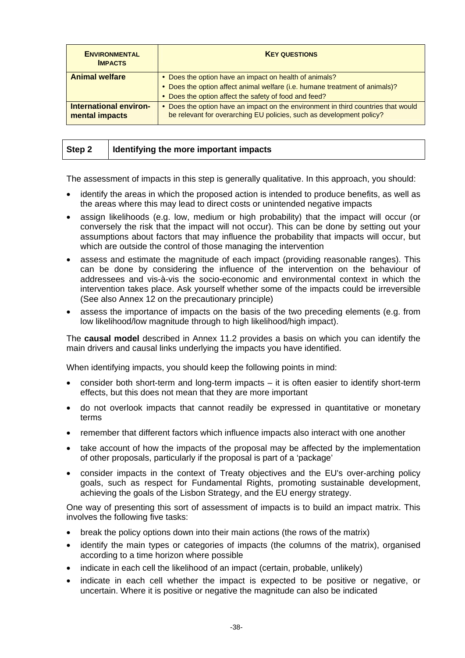| <b>ENVIRONMENTAL</b><br><b>IMPACTS</b>   | <b>KEY QUESTIONS</b>                                                                                                                                      |  |
|------------------------------------------|-----------------------------------------------------------------------------------------------------------------------------------------------------------|--|
| <b>Animal welfare</b>                    | • Does the option have an impact on health of animals?                                                                                                    |  |
|                                          | • Does the option affect animal welfare (i.e. humane treatment of animals)?                                                                               |  |
|                                          | • Does the option affect the safety of food and feed?                                                                                                     |  |
| International environ-<br>mental impacts | • Does the option have an impact on the environment in third countries that would<br>be relevant for overarching EU policies, such as development policy? |  |
|                                          |                                                                                                                                                           |  |

| Step 2 | I Identifying the more important impacts |
|--------|------------------------------------------|
|        |                                          |

The assessment of impacts in this step is generally qualitative. In this approach, you should:

- identify the areas in which the proposed action is intended to produce benefits, as well as the areas where this may lead to direct costs or unintended negative impacts
- assign likelihoods (e.g. low, medium or high probability) that the impact will occur (or conversely the risk that the impact will not occur). This can be done by setting out your assumptions about factors that may influence the probability that impacts will occur, but which are outside the control of those managing the intervention
- assess and estimate the magnitude of each impact (providing reasonable ranges). This can be done by considering the influence of the intervention on the behaviour of addressees and vis-à-vis the socio-economic and environmental context in which the intervention takes place. Ask yourself whether some of the impacts could be irreversible (See also Annex 12 on the precautionary principle)
- assess the importance of impacts on the basis of the two preceding elements (e.g. from low likelihood/low magnitude through to high likelihood/high impact).

The **causal model** described in Annex 11.2 provides a basis on which you can identify the main drivers and causal links underlying the impacts you have identified.

When identifying impacts, you should keep the following points in mind:

- consider both short-term and long-term impacts it is often easier to identify short-term effects, but this does not mean that they are more important
- do not overlook impacts that cannot readily be expressed in quantitative or monetary terms
- remember that different factors which influence impacts also interact with one another
- take account of how the impacts of the proposal may be affected by the implementation of other proposals, particularly if the proposal is part of a 'package'
- consider impacts in the context of Treaty objectives and the EU's over-arching policy goals, such as respect for Fundamental Rights, promoting sustainable development, achieving the goals of the Lisbon Strategy, and the EU energy strategy.

One way of presenting this sort of assessment of impacts is to build an impact matrix. This involves the following five tasks:

- break the policy options down into their main actions (the rows of the matrix)
- identify the main types or categories of impacts (the columns of the matrix), organised according to a time horizon where possible
- indicate in each cell the likelihood of an impact (certain, probable, unlikely)
- indicate in each cell whether the impact is expected to be positive or negative, or uncertain. Where it is positive or negative the magnitude can also be indicated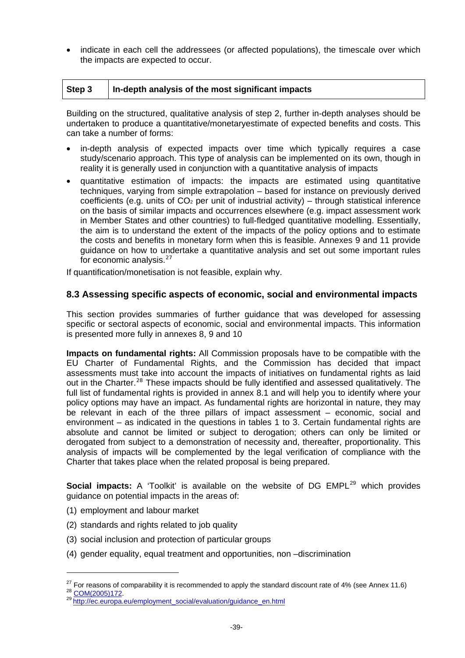<span id="page-39-0"></span>• indicate in each cell the addressees (or affected populations), the timescale over which the impacts are expected to occur.

| Step 3 |  | In-depth analysis of the most significant impacts |
|--------|--|---------------------------------------------------|
|--------|--|---------------------------------------------------|

Building on the structured, qualitative analysis of step 2, further in-depth analyses should be undertaken to produce a quantitative/monetaryestimate of expected benefits and costs. This can take a number of forms:

- in-depth analysis of expected impacts over time which typically requires a case study/scenario approach. This type of analysis can be implemented on its own, though in reality it is generally used in conjunction with a quantitative analysis of impacts
- quantitative estimation of impacts: the impacts are estimated using quantitative techniques, varying from simple extrapolation – based for instance on previously derived coefficients (e.g. units of  $CO<sub>2</sub>$  per unit of industrial activity) – through statistical inference on the basis of similar impacts and occurrences elsewhere (e.g. impact assessment work in Member States and other countries) to full-fledged quantitative modelling. Essentially, the aim is to understand the extent of the impacts of the policy options and to estimate the costs and benefits in monetary form when this is feasible. Annexes 9 and 11 provide guidance on how to undertake a quantitative analysis and set out some important rules for economic analysis. $27$

If quantification/monetisation is not feasible, explain why.

#### **8.3 Assessing specific aspects of economic, social and environmental impacts**

This section provides summaries of further guidance that was developed for assessing specific or sectoral aspects of economic, social and environmental impacts. This information is presented more fully in annexes 8, 9 and 10

**Impacts on fundamental rights:** All Commission proposals have to be compatible with the EU Charter of Fundamental Rights, and the Commission has decided that impact assessments must take into account the impacts of initiatives on fundamental rights as laid out in the Charter.<sup>[28](#page-39-2)</sup> These impacts should be fully identified and assessed qualitatively. The full list of fundamental rights is provided in annex 8.1 and will help you to identify where your policy options may have an impact. As fundamental rights are horizontal in nature, they may be relevant in each of the three pillars of impact assessment – economic, social and environment – as indicated in the questions in tables 1 to 3. Certain fundamental rights are absolute and cannot be limited or subject to derogation; others can only be limited or derogated from subject to a demonstration of necessity and, thereafter, proportionality. This analysis of impacts will be complemented by the legal verification of compliance with the Charter that takes place when the related proposal is being prepared.

**Social impacts:** A 'Toolkit' is available on the website of DG EMPL<sup>[29](#page-39-3)</sup> which provides guidance on potential impacts in the areas of:

(1) employment and labour market

-

- (2) standards and rights related to job quality
- (3) social inclusion and protection of particular groups
- (4) gender equality, equal treatment and opportunities, non –discrimination

<span id="page-39-2"></span><span id="page-39-1"></span><sup>&</sup>lt;sup>27</sup> For reasons of comparability it is recommended to apply the standard discount rate of 4% (see Annex 11.6)  $^{28}$  [COM\(2005\)172](http://eur-lex.europa.eu/LexUriServ/LexUriServ.do?uri=CELEX:52005DC0172:EN:NOT).<br><sup>29</sup> [http://ec.europa.eu/employment\\_social/evaluation/guidance\\_en.html](http://ec.europa.eu/employment_social/evaluation/guidance_en.html)

<span id="page-39-3"></span>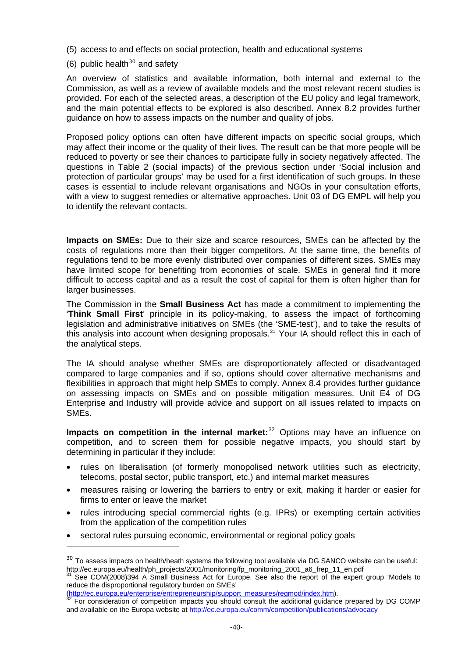- (5) access to and effects on social protection, health and educational systems
- (6) public health $30$  and safety

An overview of statistics and available information, both internal and external to the Commission, as well as a review of available models and the most relevant recent studies is provided. For each of the selected areas, a description of the EU policy and legal framework, and the main potential effects to be explored is also described. Annex 8.2 provides further guidance on how to assess impacts on the number and quality of jobs.

Proposed policy options can often have different impacts on specific social groups, which may affect their income or the quality of their lives. The result can be that more people will be reduced to poverty or see their chances to participate fully in society negatively affected. The questions in Table 2 (social impacts) of the previous section under 'Social inclusion and protection of particular groups' may be used for a first identification of such groups. In these cases is essential to include relevant organisations and NGOs in your consultation efforts, with a view to suggest remedies or alternative approaches. Unit 03 of DG EMPL will help you to identify the relevant contacts.

**Impacts on SMEs:** Due to their size and scarce resources, SMEs can be affected by the costs of regulations more than their bigger competitors. At the same time, the benefits of regulations tend to be more evenly distributed over companies of different sizes. SMEs may have limited scope for benefiting from economies of scale. SMEs in general find it more difficult to access capital and as a result the cost of capital for them is often higher than for larger businesses.

The Commission in the **Small Business Act** has made a commitment to implementing the '**Think Small First**' principle in its policy-making, to assess the impact of forthcoming legislation and administrative initiatives on SMEs (the 'SME-test'), and to take the results of this analysis into account when designing proposals. $31$  Your IA should reflect this in each of the analytical steps.

The IA should analyse whether SMEs are disproportionately affected or disadvantaged compared to large companies and if so, options should cover alternative mechanisms and flexibilities in approach that might help SMEs to comply. Annex 8.4 provides further guidance on assessing impacts on SMEs and on possible mitigation measures. Unit E4 of DG Enterprise and Industry will provide advice and support on all issues related to impacts on SMEs.

**Impacts on competition in the internal market:**<sup>[32](#page-40-2)</sup> Options may have an influence on competition, and to screen them for possible negative impacts, you should start by determining in particular if they include:

- rules on liberalisation (of formerly monopolised network utilities such as electricity, telecoms, postal sector, public transport, etc.) and internal market measures
- measures raising or lowering the barriers to entry or exit, making it harder or easier for firms to enter or leave the market
- rules introducing special commercial rights (e.g. IPRs) or exempting certain activities from the application of the competition rules
- sectoral rules pursuing economic, environmental or regional policy goals

-

<span id="page-40-0"></span> $30$  To assess impacts on health/heath systems the following tool available via DG SANCO website can be useful:<br>http://ec.europa.eu/health/ph\_projects/2001/monitoring/fp\_monitoring\_2001\_a6\_frep\_11\_en.pdf

<span id="page-40-1"></span>See COM(2008)394 A Small Business Act for Europe. See also the report of the expert group 'Models to reduce the disproportional regulatory burden on SMEs'<br>(http://ec.europa.eu/enterprise/entrepreneurship/support\_measures/regmod/index.htm).

<span id="page-40-2"></span>For consideration of competition impacts you should consult the additional guidance prepared by DG COMP and available on the Europa website at <http://ec.europa.eu/comm/competition/publications/advocacy>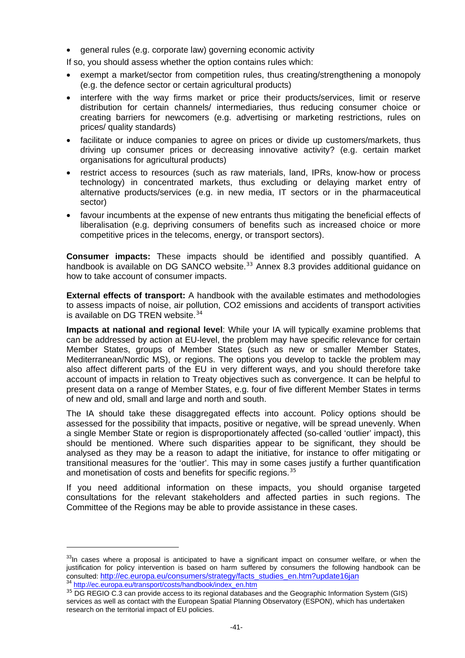• general rules (e.g. corporate law) governing economic activity

If so, you should assess whether the option contains rules which:

- exempt a market/sector from competition rules, thus creating/strengthening a monopoly (e.g. the defence sector or certain agricultural products)
- interfere with the way firms market or price their products/services, limit or reserve distribution for certain channels/ intermediaries, thus reducing consumer choice or creating barriers for newcomers (e.g. advertising or marketing restrictions, rules on prices/ quality standards)
- facilitate or induce companies to agree on prices or divide up customers/markets, thus driving up consumer prices or decreasing innovative activity? (e.g. certain market organisations for agricultural products)
- restrict access to resources (such as raw materials, land, IPRs, know-how or process technology) in concentrated markets, thus excluding or delaying market entry of alternative products/services (e.g. in new media, IT sectors or in the pharmaceutical sector)
- favour incumbents at the expense of new entrants thus mitigating the beneficial effects of liberalisation (e.g. depriving consumers of benefits such as increased choice or more competitive prices in the telecoms, energy, or transport sectors).

**Consumer impacts:** These impacts should be identified and possibly quantified. A handbook is available on DG SANCO website.<sup>[33](#page-41-0)</sup> Annex 8.3 provides additional guidance on how to take account of consumer impacts.

**External effects of transport:** A handbook with the available estimates and methodologies to assess impacts of noise, air pollution, CO2 emissions and accidents of transport activities is available on DG TREN website.<sup>[34](#page-41-1)</sup>

**Impacts at national and regional level**: While your IA will typically examine problems that can be addressed by action at EU-level, the problem may have specific relevance for certain Member States, groups of Member States (such as new or smaller Member States, Mediterranean/Nordic MS), or regions. The options you develop to tackle the problem may also affect different parts of the EU in very different ways, and you should therefore take account of impacts in relation to Treaty objectives such as convergence. It can be helpful to present data on a range of Member States, e.g. four of five different Member States in terms of new and old, small and large and north and south.

The IA should take these disaggregated effects into account. Policy options should be assessed for the possibility that impacts, positive or negative, will be spread unevenly. When a single Member State or region is disproportionately affected (so-called 'outlier' impact), this should be mentioned. Where such disparities appear to be significant, they should be analysed as they may be a reason to adapt the initiative, for instance to offer mitigating or transitional measures for the 'outlier'. This may in some cases justify a further quantification and monetisation of costs and benefits for specific regions.<sup>[35](#page-41-2)</sup>

If you need additional information on these impacts, you should organise targeted consultations for the relevant stakeholders and affected parties in such regions. The Committee of the Regions may be able to provide assistance in these cases.

1

<span id="page-41-0"></span> $33$ In cases where a proposal is anticipated to have a significant impact on consumer welfare, or when the justification for policy intervention is based on harm suffered by consumers the following handbook can be consulted: [http://ec.europa.eu/consumers/strategy/facts\\_studies\\_en.htm?update16jan](http://ec.europa.eu/consumers/strategy/facts_studies_en.htm?update16jan) 34 [http://ec.europa.eu/transport/costs/handbook/index\\_en.htm](http://ec.europa.eu/transport/costs/handbook/index_en.htm)

<span id="page-41-2"></span><span id="page-41-1"></span> $35$  DG REGIO C.3 can provide access to its regional databases and the Geographic Information System (GIS) services as well as contact with the European Spatial Planning Observatory (ESPON), which has undertaken research on the territorial impact of EU policies.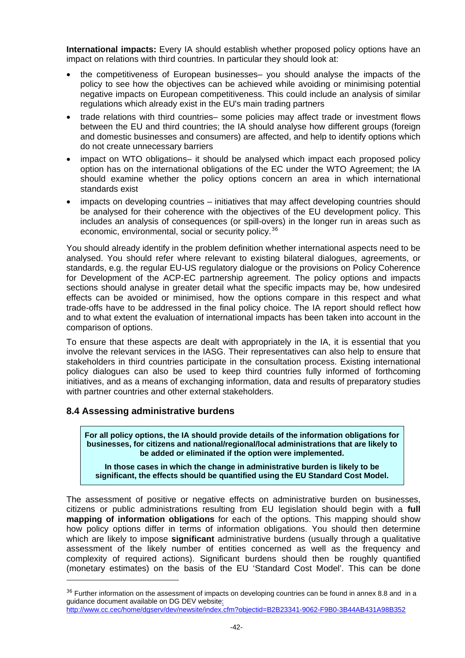<span id="page-42-0"></span>**International impacts:** Every IA should establish whether proposed policy options have an impact on relations with third countries. In particular they should look at:

- the competitiveness of European businesses– you should analyse the impacts of the policy to see how the objectives can be achieved while avoiding or minimising potential negative impacts on European competitiveness. This could include an analysis of similar regulations which already exist in the EU's main trading partners
- trade relations with third countries– some policies may affect trade or investment flows between the EU and third countries; the IA should analyse how different groups (foreign and domestic businesses and consumers) are affected, and help to identify options which do not create unnecessary barriers
- impact on WTO obligations– it should be analysed which impact each proposed policy option has on the international obligations of the EC under the WTO Agreement; the IA should examine whether the policy options concern an area in which international standards exist
- impacts on developing countries initiatives that may affect developing countries should be analysed for their coherence with the objectives of the EU development policy. This includes an analysis of consequences (or spill-overs) in the longer run in areas such as economic, environmental, social or security policy.<sup>[36](#page-42-1)</sup>

You should already identify in the problem definition whether international aspects need to be analysed. You should refer where relevant to existing bilateral dialogues, agreements, or standards, e.g. the regular EU-US regulatory dialogue or the provisions on Policy Coherence for Development of the ACP-EC partnership agreement. The policy options and impacts sections should analyse in greater detail what the specific impacts may be, how undesired effects can be avoided or minimised, how the options compare in this respect and what trade-offs have to be addressed in the final policy choice. The IA report should reflect how and to what extent the evaluation of international impacts has been taken into account in the comparison of options.

To ensure that these aspects are dealt with appropriately in the IA, it is essential that you involve the relevant services in the IASG. Their representatives can also help to ensure that stakeholders in third countries participate in the consultation process. Existing international policy dialogues can also be used to keep third countries fully informed of forthcoming initiatives, and as a means of exchanging information, data and results of preparatory studies with partner countries and other external stakeholders.

# **8.4 Assessing administrative burdens**

 $\overline{a}$ 

**For all policy options, the IA should provide details of the information obligations for businesses, for citizens and national/regional/local administrations that are likely to be added or eliminated if the option were implemented.** 

**In those cases in which the change in administrative burden is likely to be significant, the effects should be quantified using the EU Standard Cost Model.** 

The assessment of positive or negative effects on administrative burden on businesses, citizens or public administrations resulting from EU legislation should begin with a **full mapping of information obligations** for each of the options. This mapping should show how policy options differ in terms of information obligations. You should then determine which are likely to impose **significant** administrative burdens (usually through a qualitative assessment of the likely number of entities concerned as well as the frequency and complexity of required actions). Significant burdens should then be roughly quantified (monetary estimates) on the basis of the EU 'Standard Cost Model'. This can be done

<span id="page-42-1"></span><sup>&</sup>lt;sup>36</sup> Further information on the assessment of impacts on developing countries can be found in annex 8.8 and in a guidance document available on DG DEV website:

<http://www.cc.cec/home/dgserv/dev/newsite/index.cfm?objectid=B2B23341-9062-F9B0-3B44AB431A98B352>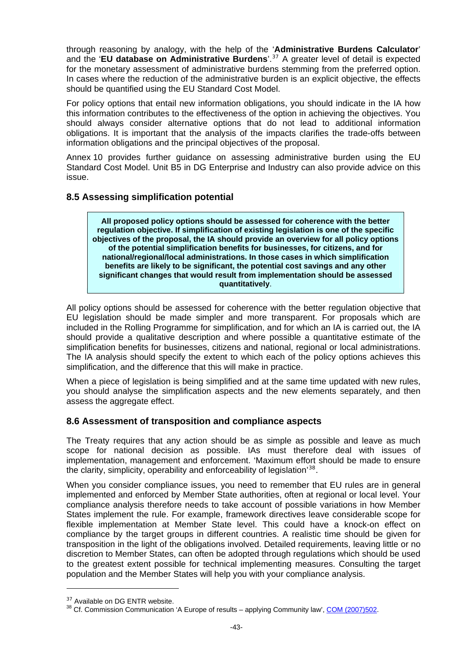<span id="page-43-0"></span>through reasoning by analogy, with the help of the '**Administrative Burdens Calculator**' and the '**EU database on Administrative Burdens**'.[37](#page-43-1) A greater level of detail is expected for the monetary assessment of administrative burdens stemming from the preferred option. In cases where the reduction of the administrative burden is an explicit objective, the effects should be quantified using the EU Standard Cost Model.

For policy options that entail new information obligations, you should indicate in the IA how this information contributes to the effectiveness of the option in achieving the objectives. You should always consider alternative options that do not lead to additional information obligations. It is important that the analysis of the impacts clarifies the trade-offs between information obligations and the principal objectives of the proposal.

Annex 10 provides further guidance on assessing administrative burden using the EU Standard Cost Model. Unit B5 in DG Enterprise and Industry can also provide advice on this issue.

# **8.5 Assessing simplification potential**

**All proposed policy options should be assessed for coherence with the better regulation objective. If simplification of existing legislation is one of the specific objectives of the proposal, the IA should provide an overview for all policy options of the potential simplification benefits for businesses, for citizens, and for national/regional/local administrations. In those cases in which simplification benefits are likely to be significant, the potential cost savings and any other significant changes that would result from implementation should be assessed quantitatively**.

All policy options should be assessed for coherence with the better regulation objective that EU legislation should be made simpler and more transparent. For proposals which are included in the Rolling Programme for simplification, and for which an IA is carried out, the IA should provide a qualitative description and where possible a quantitative estimate of the simplification benefits for businesses, citizens and national, regional or local administrations. The IA analysis should specify the extent to which each of the policy options achieves this simplification, and the difference that this will make in practice.

When a piece of legislation is being simplified and at the same time updated with new rules, you should analyse the simplification aspects and the new elements separately, and then assess the aggregate effect.

# **8.6 Assessment of transposition and compliance aspects**

The Treaty requires that any action should be as simple as possible and leave as much scope for national decision as possible. IAs must therefore deal with issues of implementation, management and enforcement. 'Maximum effort should be made to ensure the clarity, simplicity, operability and enforceability of legislation'[38](#page-43-2).

When you consider compliance issues, you need to remember that EU rules are in general implemented and enforced by Member State authorities, often at regional or local level. Your compliance analysis therefore needs to take account of possible variations in how Member States implement the rule. For example, framework directives leave considerable scope for flexible implementation at Member State level. This could have a knock-on effect on compliance by the target groups in different countries. A realistic time should be given for transposition in the light of the obligations involved. Detailed requirements, leaving little or no discretion to Member States, can often be adopted through regulations which should be used to the greatest extent possible for technical implementing measures. Consulting the target population and the Member States will help you with your compliance analysis.

1

<span id="page-43-2"></span><span id="page-43-1"></span><sup>&</sup>lt;sup>37</sup> Available on DG ENTR website.<br><sup>38</sup> Cf. Commission Communication 'A Europe of results – applying Community law', [COM \(2007\)502.](http://eur-lex.europa.eu/LexUriServ/LexUriServ.do?uri=CELEX:52007DC0502:EN:NOT)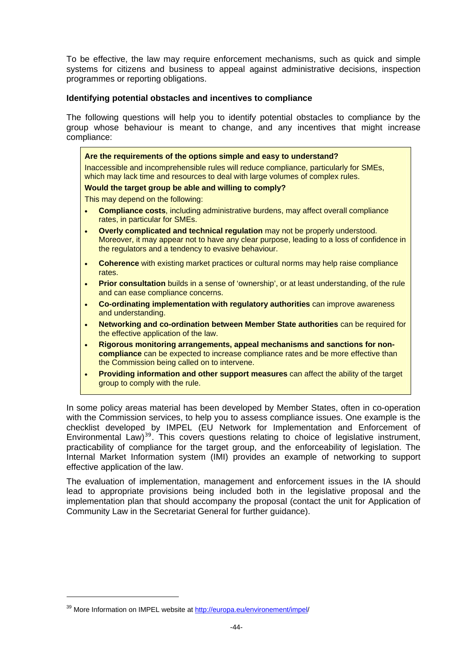To be effective, the law may require enforcement mechanisms, such as quick and simple systems for citizens and business to appeal against administrative decisions, inspection programmes or reporting obligations.

#### **Identifying potential obstacles and incentives to compliance**

The following questions will help you to identify potential obstacles to compliance by the group whose behaviour is meant to change, and any incentives that might increase compliance:

| Are the requirements of the options simple and easy to understand?                                                                                                                                                                           |
|----------------------------------------------------------------------------------------------------------------------------------------------------------------------------------------------------------------------------------------------|
| Inaccessible and incomprehensible rules will reduce compliance, particularly for SMEs,<br>which may lack time and resources to deal with large volumes of complex rules.                                                                     |
| Would the target group be able and willing to comply?                                                                                                                                                                                        |
| This may depend on the following:                                                                                                                                                                                                            |
| <b>Compliance costs, including administrative burdens, may affect overall compliance</b><br>$\bullet$<br>rates, in particular for SMEs.                                                                                                      |
| Overly complicated and technical regulation may not be properly understood.<br>$\bullet$<br>Moreover, it may appear not to have any clear purpose, leading to a loss of confidence in<br>the regulators and a tendency to evasive behaviour. |
| <b>Coherence</b> with existing market practices or cultural norms may help raise compliance<br>$\bullet$<br>rates.                                                                                                                           |
| <b>Prior consultation</b> builds in a sense of 'ownership', or at least understanding, of the rule<br>$\bullet$<br>and can ease compliance concerns.                                                                                         |
| Co-ordinating implementation with regulatory authorities can improve awareness<br>$\bullet$<br>and understanding.                                                                                                                            |
| Networking and co-ordination between Member State authorities can be required for<br>$\bullet$<br>the effective application of the law.                                                                                                      |
| Rigorous monitoring arrangements, appeal mechanisms and sanctions for non-<br>$\bullet$<br>compliance can be expected to increase compliance rates and be more effective than<br>the Commission being called on to intervene.                |

• **Providing information and other support measures** can affect the ability of the target group to comply with the rule.

In some policy areas material has been developed by Member States, often in co-operation with the Commission services, to help you to assess compliance issues. One example is the checklist developed by IMPEL (EU Network for Implementation and Enforcement of Environmental Law)<sup>[39](#page-44-0)</sup>. This covers questions relating to choice of legislative instrument, practicability of compliance for the target group, and the enforceability of legislation. The Internal Market Information system (IMI) provides an example of networking to support effective application of the law.

The evaluation of implementation, management and enforcement issues in the IA should lead to appropriate provisions being included both in the legislative proposal and the implementation plan that should accompany the proposal (contact the unit for Application of Community Law in the Secretariat General for further guidance).

1

 $\mathbb{R}^2$ 

<span id="page-44-0"></span><sup>&</sup>lt;sup>39</sup> More Information on IMPEL website at [http://europa.eu/environement/impel/](http://europa.eu/environement/impel)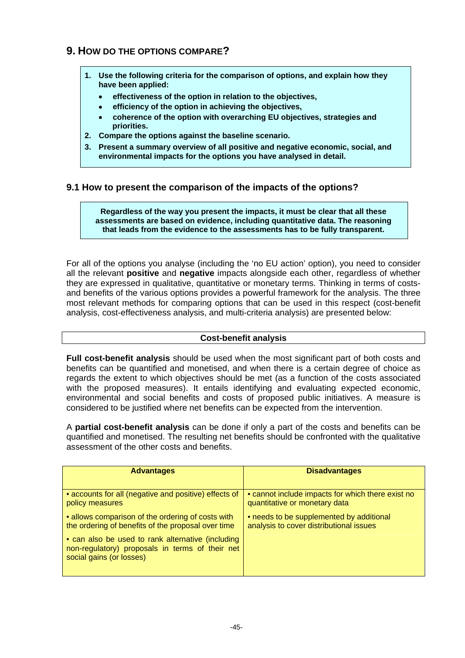# <span id="page-45-0"></span>**9. HOW DO THE OPTIONS COMPARE?**

- **1. Use the following criteria for the comparison of options, and explain how they have been applied:** 
	- • **effectiveness of the option in relation to the objectives,**
	- • **efficiency of the option in achieving the objectives,**
	- • **coherence of the option with overarching EU objectives, strategies and priorities.**
- **2. Compare the options against the baseline scenario.**
- **3. Present a summary overview of all positive and negative economic, social, and environmental impacts for the options you have analysed in detail.**

#### **9.1 How to present the comparison of the impacts of the options?**

**Regardless of the way you present the impacts, it must be clear that all these assessments are based on evidence, including quantitative data. The reasoning that leads from the evidence to the assessments has to be fully transparent.** 

For all of the options you analyse (including the 'no EU action' option), you need to consider all the relevant **positive** and **negative** impacts alongside each other, regardless of whether they are expressed in qualitative, quantitative or monetary terms. Thinking in terms of costsand benefits of the various options provides a powerful framework for the analysis. The three most relevant methods for comparing options that can be used in this respect (cost-benefit analysis, cost-effectiveness analysis, and multi-criteria analysis) are presented below:

#### **Cost-benefit analysis**

**Full cost-benefit analysis** should be used when the most significant part of both costs and benefits can be quantified and monetised, and when there is a certain degree of choice as regards the extent to which objectives should be met (as a function of the costs associated with the proposed measures). It entails identifying and evaluating expected economic, environmental and social benefits and costs of proposed public initiatives. A measure is considered to be justified where net benefits can be expected from the intervention.

A **partial cost-benefit analysis** can be done if only a part of the costs and benefits can be quantified and monetised. The resulting net benefits should be confronted with the qualitative assessment of the other costs and benefits.

| <b>Advantages</b>                                                                                                                | <b>Disadvantages</b>                              |
|----------------------------------------------------------------------------------------------------------------------------------|---------------------------------------------------|
| • accounts for all (negative and positive) effects of                                                                            | • cannot include impacts for which there exist no |
| policy measures                                                                                                                  | quantitative or monetary data                     |
| • allows comparison of the ordering of costs with                                                                                | • needs to be supplemented by additional          |
| the ordering of benefits of the proposal over time                                                                               | analysis to cover distributional issues           |
| • can also be used to rank alternative (including<br>non-regulatory) proposals in terms of their net<br>social gains (or losses) |                                                   |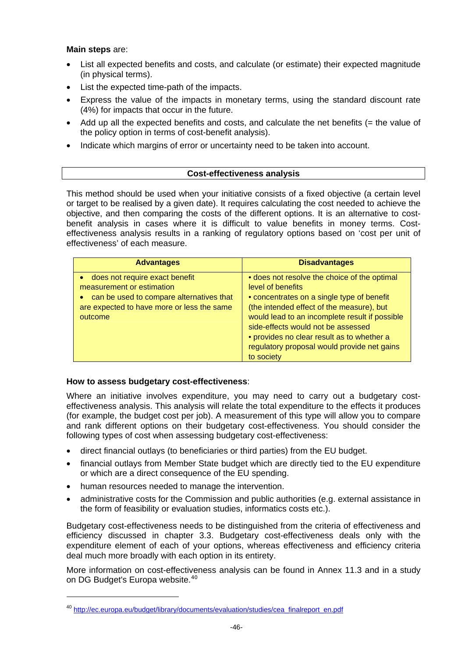#### **Main steps** are:

- List all expected benefits and costs, and calculate (or estimate) their expected magnitude (in physical terms).
- List the expected time-path of the impacts.
- Express the value of the impacts in monetary terms, using the standard discount rate (4%) for impacts that occur in the future.
- Add up all the expected benefits and costs, and calculate the net benefits (= the value of the policy option in terms of cost-benefit analysis).
- Indicate which margins of error or uncertainty need to be taken into account.

#### **Cost-effectiveness analysis**

This method should be used when your initiative consists of a fixed objective (a certain level or target to be realised by a given date). It requires calculating the cost needed to achieve the objective, and then comparing the costs of the different options. It is an alternative to costbenefit analysis in cases where it is difficult to value benefits in money terms. Costeffectiveness analysis results in a ranking of regulatory options based on 'cost per unit of effectiveness' of each measure.

| <b>Advantages</b>                                                                                                                                                | <b>Disadvantages</b>                                                                                                                                                                                                                                                                                                                                            |
|------------------------------------------------------------------------------------------------------------------------------------------------------------------|-----------------------------------------------------------------------------------------------------------------------------------------------------------------------------------------------------------------------------------------------------------------------------------------------------------------------------------------------------------------|
| does not require exact benefit<br>measurement or estimation<br>can be used to compare alternatives that<br>are expected to have more or less the same<br>outcome | • does not resolve the choice of the optimal<br>level of benefits<br>• concentrates on a single type of benefit<br>(the intended effect of the measure), but<br>would lead to an incomplete result if possible<br>side-effects would not be assessed<br>• provides no clear result as to whether a<br>regulatory proposal would provide net gains<br>to society |

#### **How to assess budgetary cost-effectiveness**:

Where an initiative involves expenditure, you may need to carry out a budgetary costeffectiveness analysis. This analysis will relate the total expenditure to the effects it produces (for example, the budget cost per job). A measurement of this type will allow you to compare and rank different options on their budgetary cost-effectiveness. You should consider the following types of cost when assessing budgetary cost-effectiveness:

- direct financial outlays (to beneficiaries or third parties) from the EU budget.
- financial outlays from Member State budget which are directly tied to the EU expenditure or which are a direct consequence of the EU spending.
- human resources needed to manage the intervention.

1

• administrative costs for the Commission and public authorities (e.g. external assistance in the form of feasibility or evaluation studies, informatics costs etc.).

Budgetary cost-effectiveness needs to be distinguished from the criteria of effectiveness and efficiency discussed in chapter 3.3. Budgetary cost-effectiveness deals only with the expenditure element of each of your options, whereas effectiveness and efficiency criteria deal much more broadly with each option in its entirety.

More information on cost-effectiveness analysis can be found in Annex 11.3 and in a study on DG Budget's Europa website.<sup>[40](#page-46-0)</sup>

<span id="page-46-0"></span><sup>40</sup> [http://ec.europa.eu/budget/library/documents/evaluation/studies/cea\\_finalreport\\_en.pdf](http://ec.europa.eu/budget/library/documents/evaluation/studies/cea_finalreport_en.pdf)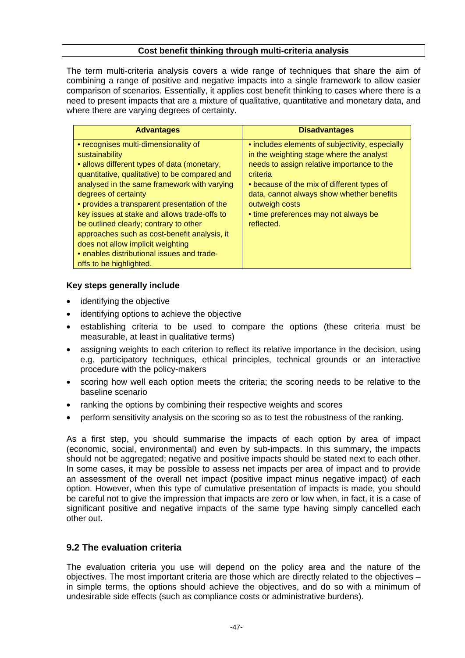#### **Cost benefit thinking through multi-criteria analysis**

<span id="page-47-0"></span>The term multi-criteria analysis covers a wide range of techniques that share the aim of combining a range of positive and negative impacts into a single framework to allow easier comparison of scenarios. Essentially, it applies cost benefit thinking to cases where there is a need to present impacts that are a mixture of qualitative, quantitative and monetary data, and where there are varying degrees of certainty.

| <b>Advantages</b>                                                                                                                                                                                                                                                                                                                                                                                                                                                                                                                     | <b>Disadvantages</b>                                                                                                                                                                                                                                                                                                     |
|---------------------------------------------------------------------------------------------------------------------------------------------------------------------------------------------------------------------------------------------------------------------------------------------------------------------------------------------------------------------------------------------------------------------------------------------------------------------------------------------------------------------------------------|--------------------------------------------------------------------------------------------------------------------------------------------------------------------------------------------------------------------------------------------------------------------------------------------------------------------------|
| • recognises multi-dimensionality of<br>sustainability<br>• allows different types of data (monetary,<br>quantitative, qualitative) to be compared and<br>analysed in the same framework with varying<br>degrees of certainty<br>• provides a transparent presentation of the<br>key issues at stake and allows trade-offs to<br>be outlined clearly; contrary to other<br>approaches such as cost-benefit analysis, it<br>does not allow implicit weighting<br>• enables distributional issues and trade-<br>offs to be highlighted. | • includes elements of subjectivity, especially<br>in the weighting stage where the analyst<br>needs to assign relative importance to the<br>criteria<br>• because of the mix of different types of<br>data, cannot always show whether benefits<br>outweigh costs<br>• time preferences may not always be<br>reflected. |

#### **Key steps generally include**

- identifying the objective
- identifying options to achieve the objective
- establishing criteria to be used to compare the options (these criteria must be measurable, at least in qualitative terms)
- assigning weights to each criterion to reflect its relative importance in the decision, using e.g. participatory techniques, ethical principles, technical grounds or an interactive procedure with the policy-makers
- scoring how well each option meets the criteria; the scoring needs to be relative to the baseline scenario
- ranking the options by combining their respective weights and scores
- perform sensitivity analysis on the scoring so as to test the robustness of the ranking.

As a first step, you should summarise the impacts of each option by area of impact (economic, social, environmental) and even by sub-impacts. In this summary, the impacts should not be aggregated; negative and positive impacts should be stated next to each other. In some cases, it may be possible to assess net impacts per area of impact and to provide an assessment of the overall net impact (positive impact minus negative impact) of each option. However, when this type of cumulative presentation of impacts is made, you should be careful not to give the impression that impacts are zero or low when, in fact, it is a case of significant positive and negative impacts of the same type having simply cancelled each other out.

# **9.2 The evaluation criteria**

The evaluation criteria you use will depend on the policy area and the nature of the objectives. The most important criteria are those which are directly related to the objectives – in simple terms, the options should achieve the objectives, and do so with a minimum of undesirable side effects (such as compliance costs or administrative burdens).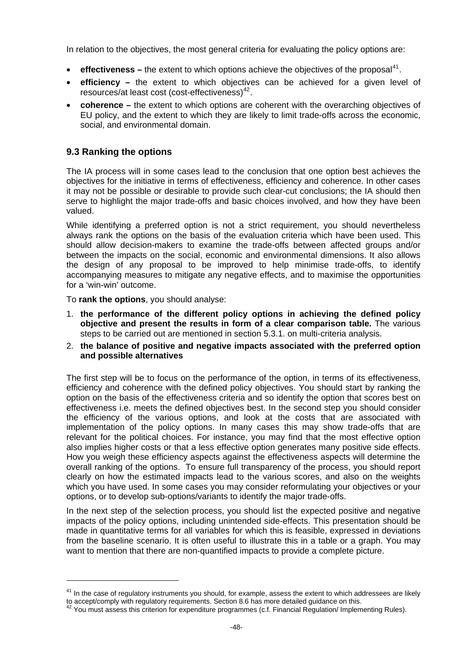<span id="page-48-0"></span>In relation to the objectives, the most general criteria for evaluating the policy options are:

- **effectiveness** the extent to which options achieve the objectives of the proposal<sup>[41](#page-48-1)</sup>.
- **efficiency –** the extent to which objectives can be achieved for a given level of resources/at least cost (cost-effectiveness)[42](#page-48-2).
- **coherence –** the extent to which options are coherent with the overarching objectives of EU policy, and the extent to which they are likely to limit trade-offs across the economic, social, and environmental domain.

# **9.3 Ranking the options**

The IA process will in some cases lead to the conclusion that one option best achieves the objectives for the initiative in terms of effectiveness, efficiency and coherence. In other cases it may not be possible or desirable to provide such clear-cut conclusions; the IA should then serve to highlight the major trade-offs and basic choices involved, and how they have been valued.

While identifying a preferred option is not a strict requirement, you should nevertheless always rank the options on the basis of the evaluation criteria which have been used. This should allow decision-makers to examine the trade-offs between affected groups and/or between the impacts on the social, economic and environmental dimensions. It also allows the design of any proposal to be improved to help minimise trade-offs, to identify accompanying measures to mitigate any negative effects, and to maximise the opportunities for a 'win-win' outcome.

To **rank the options**, you should analyse:

1

- 1. **the performance of the different policy options in achieving the defined policy objective and present the results in form of a clear comparison table.** The various steps to be carried out are mentioned in section 5.3.1. on multi-criteria analysis.
- 2. **the balance of positive and negative impacts associated with the preferred option and possible alternatives**

The first step will be to focus on the performance of the option, in terms of its effectiveness, efficiency and coherence with the defined policy objectives. You should start by ranking the option on the basis of the effectiveness criteria and so identify the option that scores best on effectiveness i.e. meets the defined objectives best. In the second step you should consider the efficiency of the various options, and look at the costs that are associated with implementation of the policy options. In many cases this may show trade-offs that are relevant for the political choices. For instance, you may find that the most effective option also implies higher costs or that a less effective option generates many positive side effects. How you weigh these efficiency aspects against the effectiveness aspects will determine the overall ranking of the options. To ensure full transparency of the process, you should report clearly on how the estimated impacts lead to the various scores, and also on the weights which you have used. In some cases you may consider reformulating your objectives or your options, or to develop sub-options/variants to identify the major trade-offs.

In the next step of the selection process, you should list the expected positive and negative impacts of the policy options, including unintended side-effects. This presentation should be made in quantitative terms for all variables for which this is feasible, expressed in deviations from the baseline scenario. It is often useful to illustrate this in a table or a graph. You may want to mention that there are non-quantified impacts to provide a complete picture.

<span id="page-48-1"></span><sup>&</sup>lt;sup>41</sup> In the case of regulatory instruments you should, for example, assess the extent to which addressees are likely to accept/comply with regulatory requirements. Section 8.6 has more detailed guidance on this. 42 You must assess this criterion for expenditure programmes (c.f. Financial Regulation/ Implementing Rules).

<span id="page-48-2"></span>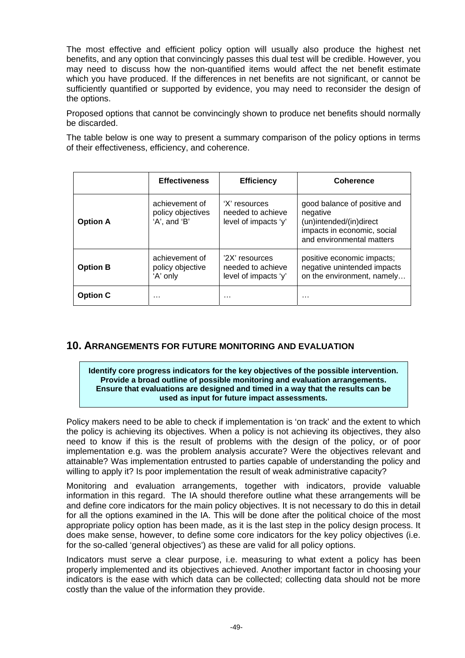<span id="page-49-0"></span>The most effective and efficient policy option will usually also produce the highest net benefits, and any option that convincingly passes this dual test will be credible. However, you may need to discuss how the non-quantified items would affect the net benefit estimate which you have produced. If the differences in net benefits are not significant, or cannot be sufficiently quantified or supported by evidence, you may need to reconsider the design of the options.

Proposed options that cannot be convincingly shown to produce net benefits should normally be discarded.

The table below is one way to present a summary comparison of the policy options in terms of their effectiveness, efficiency, and coherence.

|                 | <b>Effectiveness</b>                                | <b>Efficiency</b>                                           | <b>Coherence</b>                                                                                                                |
|-----------------|-----------------------------------------------------|-------------------------------------------------------------|---------------------------------------------------------------------------------------------------------------------------------|
| <b>Option A</b> | achievement of<br>policy objectives<br>'A', and 'B' | 'X' resources<br>needed to achieve<br>level of impacts 'y'  | good balance of positive and<br>negative<br>(un)intended/(in)direct<br>impacts in economic, social<br>and environmental matters |
| <b>Option B</b> | achievement of<br>policy objective<br>'A' only      | '2X' resources<br>needed to achieve<br>level of impacts 'y' | positive economic impacts;<br>negative unintended impacts<br>on the environment, namely                                         |
| <b>Option C</b> | .                                                   | .                                                           | .                                                                                                                               |

# **10. ARRANGEMENTS FOR FUTURE MONITORING AND EVALUATION**

#### **Identify core progress indicators for the key objectives of the possible intervention. Provide a broad outline of possible monitoring and evaluation arrangements. Ensure that evaluations are designed and timed in a way that the results can be used as input for future impact assessments.**

Policy makers need to be able to check if implementation is 'on track' and the extent to which the policy is achieving its objectives. When a policy is not achieving its objectives, they also need to know if this is the result of problems with the design of the policy, or of poor implementation e.g. was the problem analysis accurate? Were the objectives relevant and attainable? Was implementation entrusted to parties capable of understanding the policy and willing to apply it? Is poor implementation the result of weak administrative capacity?

Monitoring and evaluation arrangements, together with indicators, provide valuable information in this regard. The IA should therefore outline what these arrangements will be and define core indicators for the main policy objectives. It is not necessary to do this in detail for all the options examined in the IA. This will be done after the political choice of the most appropriate policy option has been made, as it is the last step in the policy design process. It does make sense, however, to define some core indicators for the key policy objectives (i.e. for the so-called 'general objectives') as these are valid for all policy options.

Indicators must serve a clear purpose, i.e. measuring to what extent a policy has been properly implemented and its objectives achieved. Another important factor in choosing your indicators is the ease with which data can be collected; collecting data should not be more costly than the value of the information they provide.